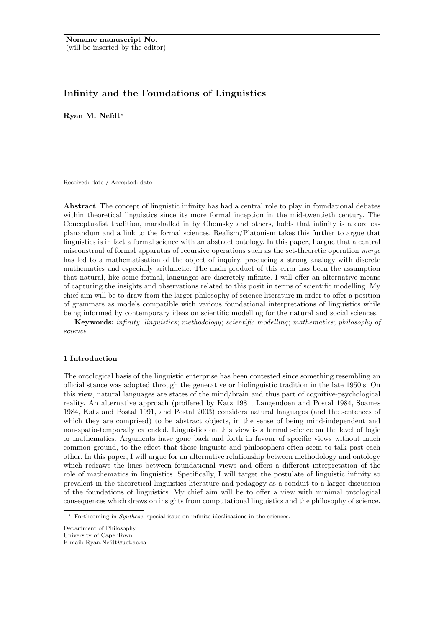# Infinity and the Foundations of Linguistics

Ryan M. Nefdt?

Received: date / Accepted: date

Abstract The concept of linguistic infinity has had a central role to play in foundational debates within theoretical linguistics since its more formal inception in the mid-twentieth century. The Conceptualist tradition, marshalled in by Chomsky and others, holds that infinity is a core explanandum and a link to the formal sciences. Realism/Platonism takes this further to argue that linguistics is in fact a formal science with an abstract ontology. In this paper, I argue that a central misconstrual of formal apparatus of recursive operations such as the set-theoretic operation merge has led to a mathematisation of the object of inquiry, producing a strong analogy with discrete mathematics and especially arithmetic. The main product of this error has been the assumption that natural, like some formal, languages are discretely infinite. I will offer an alternative means of capturing the insights and observations related to this posit in terms of scientific modelling. My chief aim will be to draw from the larger philosophy of science literature in order to offer a position of grammars as models compatible with various foundational interpretations of linguistics while being informed by contemporary ideas on scientific modelling for the natural and social sciences.

Keywords: infinity; linguistics; methodology; scientific modelling; mathematics; philosophy of science

# 1 Introduction

The ontological basis of the linguistic enterprise has been contested since something resembling an official stance was adopted through the generative or biolinguistic tradition in the late 1950's. On this view, natural languages are states of the mind/brain and thus part of cognitive-psychological reality. An alternative approach (proffered by Katz 1981, Langendoen and Postal 1984, Soames 1984, Katz and Postal 1991, and Postal 2003) considers natural languages (and the sentences of which they are comprised) to be abstract objects, in the sense of being mind-independent and non-spatio-temporally extended. Linguistics on this view is a formal science on the level of logic or mathematics. Arguments have gone back and forth in favour of specific views without much common ground, to the effect that these linguists and philosophers often seem to talk past each other. In this paper, I will argue for an alternative relationship between methodology and ontology which redraws the lines between foundational views and offers a different interpretation of the role of mathematics in linguistics. Specifically, I will target the postulate of linguistic infinity so prevalent in the theoretical linguistics literature and pedagogy as a conduit to a larger discussion of the foundations of linguistics. My chief aim will be to offer a view with minimal ontological consequences which draws on insights from computational linguistics and the philosophy of science.

Department of Philosophy

 $*$  Forthcoming in *Synthese*, special issue on infinite idealizations in the sciences.

University of Cape Town

E-mail: Ryan.Nefdt@uct.ac.za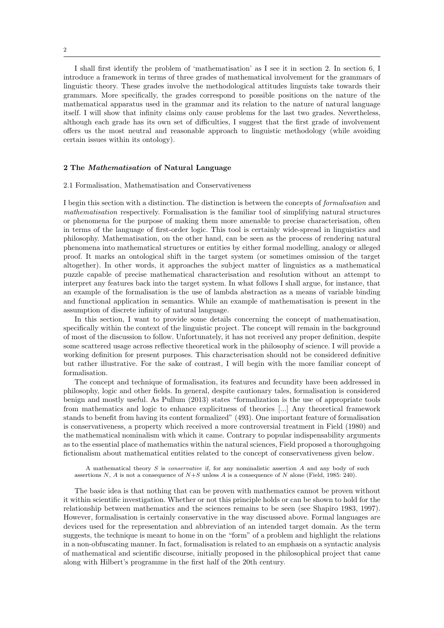I shall first identify the problem of 'mathematisation' as I see it in section 2. In section 6, I introduce a framework in terms of three grades of mathematical involvement for the grammars of linguistic theory. These grades involve the methodological attitudes linguists take towards their grammars. More specifically, the grades correspond to possible positions on the nature of the mathematical apparatus used in the grammar and its relation to the nature of natural language itself. I will show that infinity claims only cause problems for the last two grades. Nevertheless, although each grade has its own set of difficulties, I suggest that the first grade of involvement offers us the most neutral and reasonable approach to linguistic methodology (while avoiding certain issues within its ontology).

# 2 The Mathematisation of Natural Language

## 2.1 Formalisation, Mathematisation and Conservativeness

I begin this section with a distinction. The distinction is between the concepts of formalisation and mathematisation respectively. Formalisation is the familiar tool of simplifying natural structures or phenomena for the purpose of making them more amenable to precise characterisation, often in terms of the language of first-order logic. This tool is certainly wide-spread in linguistics and philosophy. Mathematisation, on the other hand, can be seen as the process of rendering natural phenomena into mathematical structures or entities by either formal modelling, analogy or alleged proof. It marks an ontological shift in the target system (or sometimes omission of the target altogether). In other words, it approaches the subject matter of linguistics as a mathematical puzzle capable of precise mathematical characterisation and resolution without an attempt to interpret any features back into the target system. In what follows I shall argue, for instance, that an example of the formalisation is the use of lambda abstraction as a means of variable binding and functional application in semantics. While an example of mathematisation is present in the assumption of discrete infinity of natural language.

In this section, I want to provide some details concerning the concept of mathematisation, specifically within the context of the linguistic project. The concept will remain in the background of most of the discussion to follow. Unfortunately, it has not received any proper definition, despite some scattered usage across reflective theoretical work in the philosophy of science. I will provide a working definition for present purposes. This characterisation should not be considered definitive but rather illustrative. For the sake of contrast, I will begin with the more familiar concept of formalisation.

The concept and technique of formalisation, its features and fecundity have been addressed in philosophy, logic and other fields. In general, despite cautionary tales, formalisation is considered benign and mostly useful. As Pullum (2013) states "formalization is the use of appropriate tools from mathematics and logic to enhance explicitness of theories [...] Any theoretical framework stands to benefit from having its content formalized" (493). One important feature of formalisation is conservativeness, a property which received a more controversial treatment in Field (1980) and the mathematical nominalism with which it came. Contrary to popular indispensability arguments as to the essential place of mathematics within the natural sciences, Field proposed a thoroughgoing fictionalism about mathematical entities related to the concept of conservativeness given below.

A mathematical theory  $S$  is *conservative* if, for any nominalistic assertion  $A$  and any body of such assertions N, A is not a consequence of  $N+S$  unless A is a consequence of N alone (Field, 1985: 240).

The basic idea is that nothing that can be proven with mathematics cannot be proven without it within scientific investigation. Whether or not this principle holds or can be shown to hold for the relationship between mathematics and the sciences remains to be seen (see Shapiro 1983, 1997). However, formalisation is certainly conservative in the way discussed above. Formal languages are devices used for the representation and abbreviation of an intended target domain. As the term suggests, the technique is meant to home in on the "form" of a problem and highlight the relations in a non-obfuscating manner. In fact, formalisation is related to an emphasis on a syntactic analysis of mathematical and scientific discourse, initially proposed in the philosophical project that came along with Hilbert's programme in the first half of the 20th century.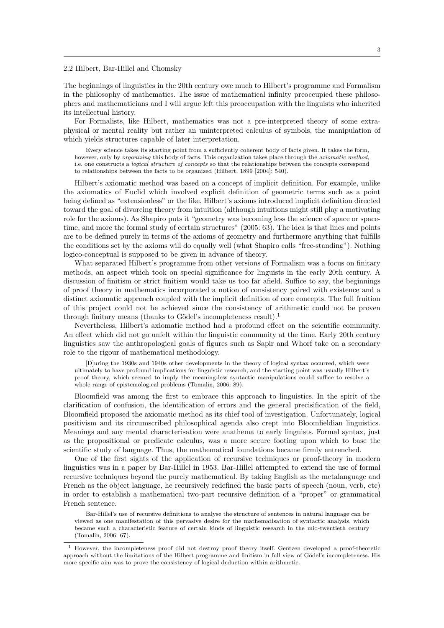# 2.2 Hilbert, Bar-Hillel and Chomsky

The beginnings of linguistics in the 20th century owe much to Hilbert's programme and Formalism in the philosophy of mathematics. The issue of mathematical infinity preoccupied these philosophers and mathematicians and I will argue left this preoccupation with the linguists who inherited its intellectual history.

For Formalists, like Hilbert, mathematics was not a pre-interpreted theory of some extraphysical or mental reality but rather an uninterpreted calculus of symbols, the manipulation of which yields structures capable of later interpretation.

Every science takes its starting point from a sufficiently coherent body of facts given. It takes the form, however, only by *organizing* this body of facts. This organization takes place through the *axiomatic method*, i.e. one constructs a logical structure of concepts so that the relationships between the concepts correspond to relationships between the facts to be organized (Hilbert, 1899 [2004]: 540).

Hilbert's axiomatic method was based on a concept of implicit definition. For example, unlike the axiomatics of Euclid which involved explicit definition of geometric terms such as a point being defined as "extensionless" or the like, Hilbert's axioms introduced implicit definition directed toward the goal of divorcing theory from intuition (although intuitions might still play a motivating role for the axioms). As Shapiro puts it "geometry was becoming less the science of space or spacetime, and more the formal study of certain structures" (2005: 63). The idea is that lines and points are to be defined purely in terms of the axioms of geometry and furthermore anything that fulfills the conditions set by the axioms will do equally well (what Shapiro calls "free-standing"). Nothing logico-conceptual is supposed to be given in advance of theory.

What separated Hilbert's programme from other versions of Formalism was a focus on finitary methods, an aspect which took on special significance for linguists in the early 20th century. A discussion of finitism or strict finitism would take us too far afield. Suffice to say, the beginnings of proof theory in mathematics incorporated a notion of consistency paired with existence and a distinct axiomatic approach coupled with the implicit definition of core concepts. The full fruition of this project could not be achieved since the consistency of arithmetic could not be proven through finitary means (thanks to Gödel's incompleteness result).<sup>1</sup>

Nevertheless, Hilbert's axiomatic method had a profound effect on the scientific community. An effect which did not go unfelt within the linguistic community at the time. Early 20th century linguistics saw the anthropological goals of figures such as Sapir and Whorf take on a secondary role to the rigour of mathematical methodology.

[D]uring the 1930s and 1940s other developments in the theory of logical syntax occurred, which were ultimately to have profound implications for linguistic research, and the starting point was usually Hilbert's proof theory, which seemed to imply the meaning-less syntactic manipulations could suffice to resolve a whole range of epistemological problems (Tomalin, 2006: 89).

Bloomfield was among the first to embrace this approach to linguistics. In the spirit of the clarification of confusion, the identification of errors and the general precisification of the field, Bloomfield proposed the axiomatic method as its chief tool of investigation. Unfortunately, logical positivism and its circumscribed philosophical agenda also crept into Bloomfieldian linguistics. Meanings and any mental characterisation were anathema to early linguists. Formal syntax, just as the propositional or predicate calculus, was a more secure footing upon which to base the scientific study of language. Thus, the mathematical foundations became firmly entrenched.

One of the first sights of the application of recursive techniques or proof-theory in modern linguistics was in a paper by Bar-Hillel in 1953. Bar-Hillel attempted to extend the use of formal recursive techniques beyond the purely mathematical. By taking English as the metalanguage and French as the object language, he recursively redefined the basic parts of speech (noun, verb, etc) in order to establish a mathematical two-part recursive definition of a "proper" or grammatical French sentence.

Bar-Hillel's use of recursive definitions to analyse the structure of sentences in natural language can be viewed as one manifestation of this pervasive desire for the mathematisation of syntactic analysis, which became such a characteristic feature of certain kinds of linguistic research in the mid-twentieth century (Tomalin, 2006: 67).

<sup>1</sup> However, the incompleteness proof did not destroy proof theory itself. Gentzen developed a proof-theoretic approach without the limitations of the Hilbert programme and finitism in full view of Gödel's incompleteness. His more specific aim was to prove the consistency of logical deduction within arithmetic.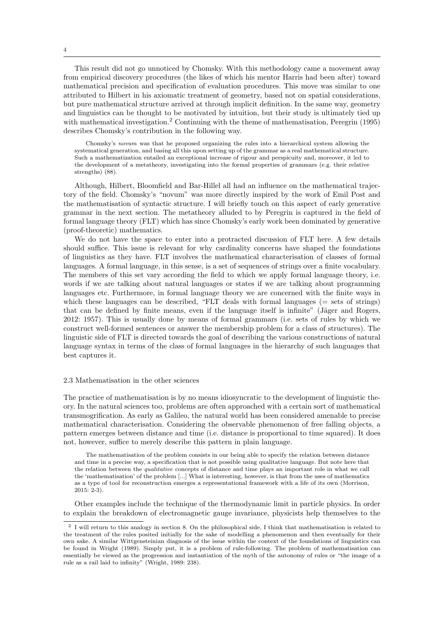This result did not go unnoticed by Chomsky. With this methodology came a movement away from empirical discovery procedures (the likes of which his mentor Harris had been after) toward mathematical precision and specification of evaluation procedures. This move was similar to one attributed to Hilbert in his axiomatic treatment of geometry, based not on spatial considerations, but pure mathematical structure arrived at through implicit definition. In the same way, geometry and linguistics can be thought to be motivated by intuition, but their study is ultimately tied up with mathematical investigation.<sup>2</sup> Continuing with the theme of mathematisation, Peregrin (1995) describes Chomsky's contribution in the following way.

Chomsky's novum was that he proposed organizing the rules into a hierarchical system allowing the systematical generation, and basing all this upon setting up of the grammar as a real mathematical structure. Such a mathematization entailed an exceptional increase of rigour and perspicuity and, moreover, it led to the development of a metatheory, investigating into the formal properties of grammars (e.g. their relative strengths) (88).

Although, Hilbert, Bloomfield and Bar-Hillel all had an influence on the mathematical trajectory of the field. Chomsky's "novum" was more directly inspired by the work of Emil Post and the mathematisation of syntactic structure. I will briefly touch on this aspect of early generative grammar in the next section. The metatheory alluded to by Peregrin is captured in the field of formal language theory (FLT) which has since Chomsky's early work been dominated by generative (proof-theoretic) mathematics.

We do not have the space to enter into a protracted discussion of FLT here. A few details should suffice. This issue is relevant for why cardinality concerns have shaped the foundations of linguistics as they have. FLT involves the mathematical characterisation of classes of formal languages. A formal language, in this sense, is a set of sequences of strings over a finite vocabulary. The members of this set vary according the field to which we apply formal language theory, i.e. words if we are talking about natural languages or states if we are talking about programming languages etc. Furthermore, in formal language theory we are concerned with the finite ways in which these languages can be described, "FLT deals with formal languages (= sets of strings) that can be defined by finite means, even if the language itself is infinite" (Jäger and Rogers, 2012: 1957). This is usually done by means of formal grammars (i.e. sets of rules by which we construct well-formed sentences or answer the membership problem for a class of structures). The linguistic side of FLT is directed towards the goal of describing the various constructions of natural language syntax in terms of the class of formal languages in the hierarchy of such languages that best captures it.

# 2.3 Mathematisation in the other sciences

The practice of mathematisation is by no means idiosyncratic to the development of linguistic theory. In the natural sciences too, problems are often approached with a certain sort of mathematical transmogrification. As early as Galileo, the natural world has been considered amenable to precise mathematical characterisation. Considering the observable phenomenon of free falling objects, a pattern emerges between distance and time (i.e. distance is proportional to time squared). It does not, however, suffice to merely describe this pattern in plain language.

The mathematisation of the problem consists in our being able to specify the relation between distance and time in a precise way, a specification that is not possible using qualitative language. But note here that the relation between the qualitative concepts of distance and time plays an important role in what we call the 'mathematisation' of the problem [...] What is interesting, however, is that from the uses of mathematics as a type of tool for reconstruction emerges a representational framework with a life of its own (Morrison, 2015: 2-3).

Other examples include the technique of the thermodynamic limit in particle physics. In order to explain the breakdown of electromagnetic gauge invariance, physicists help themselves to the

<sup>&</sup>lt;sup>2</sup> I will return to this analogy in section 8. On the philosophical side, I think that mathematisation is related to the treatment of the rules posited initially for the sake of modelling a phenomenon and then eventually for their own sake. A similar Wittgensteinian diagnosis of the issue within the context of the foundations of linguistics can be found in Wright (1989). Simply put, it is a problem of rule-following. The problem of mathematisation can essentially be viewed as the progression and instantiation of the myth of the autonomy of rules or "the image of a rule as a rail laid to infinity" (Wright, 1989: 238).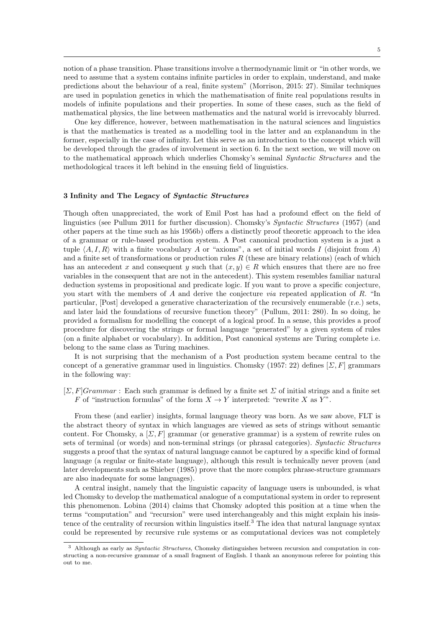notion of a phase transition. Phase transitions involve a thermodynamic limit or "in other words, we need to assume that a system contains infinite particles in order to explain, understand, and make predictions about the behaviour of a real, finite system" (Morrison, 2015: 27). Similar techniques are used in population genetics in which the mathematisation of finite real populations results in models of infinite populations and their properties. In some of these cases, such as the field of mathematical physics, the line between mathematics and the natural world is irrevocably blurred.

One key difference, however, between mathematisation in the natural sciences and linguistics is that the mathematics is treated as a modelling tool in the latter and an explanandum in the former, especially in the case of infinity. Let this serve as an introduction to the concept which will be developed through the grades of involvement in section 6. In the next section, we will move on to the mathematical approach which underlies Chomsky's seminal Syntactic Structures and the methodological traces it left behind in the ensuing field of linguistics.

#### 3 Infinity and The Legacy of Syntactic Structures

Though often unappreciated, the work of Emil Post has had a profound effect on the field of linguistics (see Pullum 2011 for further discussion). Chomsky's Syntactic Structures (1957) (and other papers at the time such as his 1956b) offers a distinctly proof theoretic approach to the idea of a grammar or rule-based production system. A Post canonical production system is a just a tuple  $\langle A, I, R \rangle$  with a finite vocabulary A or "axioms", a set of initial words I (disjoint from A) and a finite set of transformations or production rules  $R$  (these are binary relations) (each of which has an antecedent x and consequent y such that  $(x, y) \in R$  which ensures that there are no free variables in the consequent that are not in the antecedent). This system resembles familiar natural deduction systems in propositional and predicate logic. If you want to prove a specific conjecture, you start with the members of A and derive the conjecture *via* repeated application of R. "In particular, [Post] developed a generative characterization of the recursively enumerable (r.e.) sets, and later laid the foundations of recursive function theory" (Pullum, 2011: 280). In so doing, he provided a formalism for modelling the concept of a logical proof. In a sense, this provides a proof procedure for discovering the strings or formal language "generated" by a given system of rules (on a finite alphabet or vocabulary). In addition, Post canonical systems are Turing complete i.e. belong to the same class as Turing machines.

It is not surprising that the mechanism of a Post production system became central to the concept of a generative grammar used in linguistics. Chomsky (1957: 22) defines  $[\Sigma, F]$  grammars in the following way:

 $[\Sigma, F]$ Grammar: Each such grammar is defined by a finite set  $\Sigma$  of initial strings and a finite set F of "instruction formulas" of the form  $X \to Y$  interpreted: "rewrite X as Y".

From these (and earlier) insights, formal language theory was born. As we saw above, FLT is the abstract theory of syntax in which languages are viewed as sets of strings without semantic content. For Chomsky, a  $[\Sigma, F]$  grammar (or generative grammar) is a system of rewrite rules on sets of terminal (or words) and non-terminal strings (or phrasal categories). Syntactic Structures suggests a proof that the syntax of natural language cannot be captured by a specific kind of formal language (a regular or finite-state language), although this result is technically never proven (and later developments such as Shieber (1985) prove that the more complex phrase-structure grammars are also inadequate for some languages).

A central insight, namely that the linguistic capacity of language users is unbounded, is what led Chomsky to develop the mathematical analogue of a computational system in order to represent this phenomenon. Lobina (2014) claims that Chomsky adopted this position at a time when the terms "computation" and "recursion" were used interchangeably and this might explain his insistence of the centrality of recursion within linguistics itself.<sup>3</sup> The idea that natural language syntax could be represented by recursive rule systems or as computational devices was not completely

<sup>3</sup> Although as early as Syntactic Structures, Chomsky distinguishes between recursion and computation in constructing a non-recursive grammar of a small fragment of English. I thank an anonymous referee for pointing this out to me.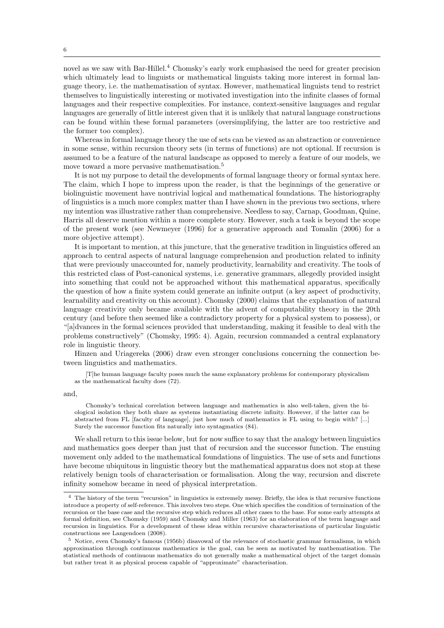novel as we saw with Bar-Hillel.<sup>4</sup> Chomsky's early work emphasised the need for greater precision which ultimately lead to linguists or mathematical linguists taking more interest in formal language theory, i.e. the mathematisation of syntax. However, mathematical linguists tend to restrict themselves to linguistically interesting or motivated investigation into the infinite classes of formal languages and their respective complexities. For instance, context-sensitive languages and regular languages are generally of little interest given that it is unlikely that natural language constructions can be found within these formal parameters (oversimplifying, the latter are too restrictive and the former too complex).

Whereas in formal language theory the use of sets can be viewed as an abstraction or convenience in some sense, within recursion theory sets (in terms of functions) are not optional. If recursion is assumed to be a feature of the natural landscape as opposed to merely a feature of our models, we move toward a more pervasive mathematisation.<sup>5</sup>

It is not my purpose to detail the developments of formal language theory or formal syntax here. The claim, which I hope to impress upon the reader, is that the beginnings of the generative or biolinguistic movement have nontrivial logical and mathematical foundations. The historiography of linguistics is a much more complex matter than I have shown in the previous two sections, where my intention was illustrative rather than comprehensive. Needless to say, Carnap, Goodman, Quine, Harris all deserve mention within a more complete story. However, such a task is beyond the scope of the present work (see Newmeyer (1996) for a generative approach and Tomalin (2006) for a more objective attempt).

It is important to mention, at this juncture, that the generative tradition in linguistics offered an approach to central aspects of natural language comprehension and production related to infinity that were previously unaccounted for, namely productivity, learnability and creativity. The tools of this restricted class of Post-canonical systems, i.e. generative grammars, allegedly provided insight into something that could not be approached without this mathematical apparatus, specifically the question of how a finite system could generate an infinite output (a key aspect of productivity, learnability and creativity on this account). Chomsky (2000) claims that the explanation of natural language creativity only became available with the advent of computability theory in the 20th century (and before then seemed like a contradictory property for a physical system to possess), or "[a]dvances in the formal sciences provided that understanding, making it feasible to deal with the problems constructively" (Chomsky, 1995: 4). Again, recursion commanded a central explanatory role in linguistic theory.

Hinzen and Uriagereka (2006) draw even stronger conclusions concerning the connection between linguistics and mathematics.

[T]he human language faculty poses much the same explanatory problems for contemporary physicalism as the mathematical faculty does (72).

and,

Chomsky's technical correlation between language and mathematics is also well-taken, given the biological isolation they both share as systems instantiating discrete infinity. However, if the latter can be abstracted from FL [faculty of language], just how much of mathematics is FL using to begin with? [...] Surely the successor function fits naturally into syntagmatics (84).

We shall return to this issue below, but for now suffice to say that the analogy between linguistics and mathematics goes deeper than just that of recursion and the successor function. The ensuing movement only added to the mathematical foundations of linguistics. The use of sets and functions have become ubiquitous in linguistic theory but the mathematical apparatus does not stop at these relatively benign tools of characterisation or formalisation. Along the way, recursion and discrete infinity somehow became in need of physical interpretation.

<sup>4</sup> The history of the term "recursion" in linguistics is extremely messy. Briefly, the idea is that recursive functions introduce a property of self-reference. This involves two steps. One which specifies the condition of termination of the recursion or the base case and the recursive step which reduces all other cases to the base. For some early attempts at formal definition, see Chomsky (1959) and Chomsky and Miller (1963) for an elaboration of the term language and recursion in linguistics. For a development of these ideas within recursive characterisations of particular linguistic constructions see Langendoen (2008).

<sup>5</sup> Notice, even Chomsky's famous (1956b) disavowal of the relevance of stochastic grammar formalisms, in which approximation through continuous mathematics is the goal, can be seen as motivated by mathematisation. The statistical methods of continuous mathematics do not generally make a mathematical object of the target domain but rather treat it as physical process capable of "approximate" characterisation.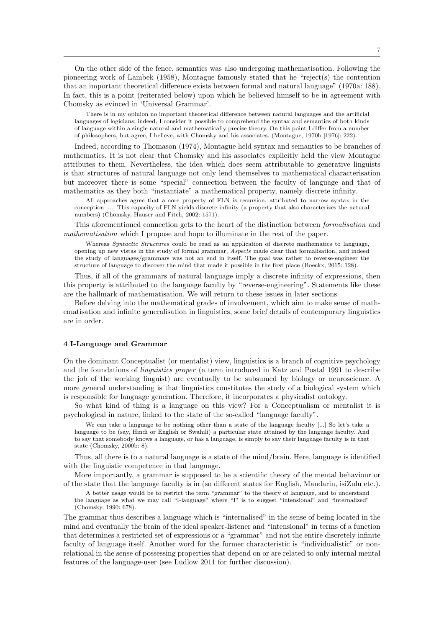On the other side of the fence, semantics was also undergoing mathematisation. Following the pioneering work of Lambek (1958), Montague famously stated that he "reject(s) the contention that an important theoretical difference exists between formal and natural language" (1970a: 188). In fact, this is a point (reiterated below) upon which he believed himself to be in agreement with Chomsky as evinced in 'Universal Grammar'.

There is in my opinion no important theoretical difference between natural languages and the artificial languages of logicians; indeed, I consider it possible to comprehend the syntax and semantics of both kinds of language within a single natural and mathematically precise theory. On this point I differ from a number of philosophers, but agree, I believe, with Chomsky and his associates. (Montague, 1970b [1976]: 222).

Indeed, according to Thomason (1974), Montague held syntax and semantics to be branches of mathematics. It is not clear that Chomsky and his associates explicitly held the view Montague attributes to them. Nevertheless, the idea which does seem attributable to generative linguists is that structures of natural language not only lend themselves to mathematical characterisation but moreover there is some "special" connection between the faculty of language and that of mathematics as they both "instantiate" a mathematical property, namely discrete infinity.

All approaches agree that a core property of FLN is recursion, attributed to narrow syntax in the conception [...] This capacity of FLN yields discrete infinity (a property that also characterizes the natural numbers) (Chomsky, Hauser and Fitch, 2002: 1571).

This aforementioned connection gets to the heart of the distinction between formalisation and mathematisation which I propose and hope to illuminate in the rest of the paper.

Whereas Syntactic Structures could be read as an application of discrete mathematics to language, opening up new vistas in the study of formal grammar, Aspects made clear that formalisation, and indeed the study of languages/grammars was not an end in itself. The goal was rather to reverse-engineer the structure of language to discover the mind that made it possible in the first place (Boeckx, 2015: 128).

Thus, if all of the grammars of natural language imply a discrete infinity of expressions, then this property is attributed to the language faculty by "reverse-engineering". Statements like these are the hallmark of mathematisation. We will return to these issues in later sections.

Before delving into the mathematical grades of involvement, which aim to make sense of mathematisation and infinite generalisation in linguistics, some brief details of contemporary linguistics are in order.

#### 4 I-Language and Grammar

On the dominant Conceptualist (or mentalist) view, linguistics is a branch of cognitive psychology and the foundations of linguistics proper (a term introduced in Katz and Postal 1991 to describe the job of the working linguist) are eventually to be subsumed by biology or neuroscience. A more general understanding is that linguistics constitutes the study of a biological system which is responsible for language generation. Therefore, it incorporates a physicalist ontology.

So what kind of thing is a language on this view? For a Conceptualism or mentalist it is psychological in nature, linked to the state of the so-called "language faculty".

We can take a language to be nothing other than a state of the language faculty [...] So let's take a language to be (say, Hindi or English or Swahili) a particular state attained by the language faculty. And to say that somebody knows a language, or has a language, is simply to say their language faculty is in that state (Chomsky, 2000b: 8).

Thus, all there is to a natural language is a state of the mind/brain. Here, language is identified with the linguistic competence in that language.

More importantly, a grammar is supposed to be a scientific theory of the mental behaviour or of the state that the language faculty is in (so different states for English, Mandarin, isiZulu etc.).

A better usage would be to restrict the term "grammar" to the theory of language, and to understand the language as what we may call "I-language" where "I" is to suggest "intensional" and "internalized" (Chomsky, 1990: 678).

The grammar thus describes a language which is "internalised" in the sense of being located in the mind and eventually the brain of the ideal speaker-listener and "intensional" in terms of a function that determines a restricted set of expressions or a "grammar" and not the entire discretely infinite faculty of language itself. Another word for the former characteristic is "individualistic" or nonrelational in the sense of possessing properties that depend on or are related to only internal mental features of the language-user (see Ludlow 2011 for further discussion).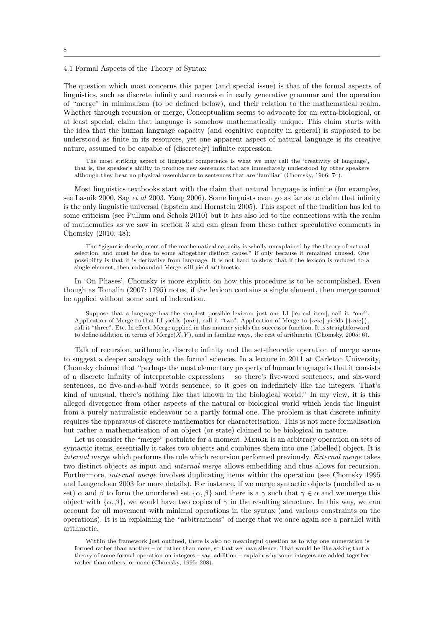# 4.1 Formal Aspects of the Theory of Syntax

The question which most concerns this paper (and special issue) is that of the formal aspects of linguistics, such as discrete infinity and recursion in early generative grammar and the operation of "merge" in minimalism (to be defined below), and their relation to the mathematical realm. Whether through recursion or merge, Conceptualism seems to advocate for an extra-biological, or at least special, claim that language is somehow mathematically unique. This claim starts with the idea that the human language capacity (and cognitive capacity in general) is supposed to be understood as finite in its resources, yet one apparent aspect of natural language is its creative nature, assumed to be capable of (discretely) infinite expression.

The most striking aspect of linguistic competence is what we may call the 'creativity of language', that is, the speaker's ability to produce new sentences that are immediately understood by other speakers although they bear no physical resemblance to sentences that are 'familiar' (Chomsky, 1966: 74).

Most linguistics textbooks start with the claim that natural language is infinite (for examples, see Lasnik 2000, Sag et al 2003, Yang 2006). Some linguists even go as far as to claim that infinity is the only linguistic universal (Epstein and Hornstein 2005). This aspect of the tradition has led to some criticism (see Pullum and Scholz 2010) but it has also led to the connections with the realm of mathematics as we saw in section 3 and can glean from these rather speculative comments in Chomsky (2010: 48):

The "gigantic development of the mathematical capacity is wholly unexplained by the theory of natural selection, and must be due to some altogether distinct cause," if only because it remained unused. One possibility is that it is derivative from language. It is not hard to show that if the lexicon is reduced to a single element, then unbounded Merge will yield arithmetic.

In 'On Phases', Chomsky is more explicit on how this procedure is to be accomplished. Even though as Tomalin (2007: 1795) notes, if the lexicon contains a single element, then merge cannot be applied without some sort of indexation.

Suppose that a language has the simplest possible lexicon: just one LI [lexical item], call it "one". Application of Merge to that LI yields  $\{one\}$ , call it "two". Application of Merge to  $\{one\}$  yields  $\{\{one\}\}$ , call it "three". Etc. In effect, Merge applied in this manner yields the successor function. It is straightforward to define addition in terms of  $\text{Merge}(X, Y)$ , and in familiar ways, the rest of arithmetic (Chomsky, 2005: 6).

Talk of recursion, arithmetic, discrete infinity and the set-theoretic operation of merge seems to suggest a deeper analogy with the formal sciences. In a lecture in 2011 at Carleton University, Chomsky claimed that "perhaps the most elementary property of human language is that it consists of a discrete infinity of interpretable expressions – so there's five-word sentences, and six-word sentences, no five-and-a-half words sentence, so it goes on indefinitely like the integers. That's kind of unusual, there's nothing like that known in the biological world." In my view, it is this alleged divergence from other aspects of the natural or biological world which leads the linguist from a purely naturalistic endeavour to a partly formal one. The problem is that discrete infinity requires the apparatus of discrete mathematics for characterisation. This is not mere formalisation but rather a mathematisation of an object (or state) claimed to be biological in nature.

Let us consider the "merge" postulate for a moment. MERGE is an arbitrary operation on sets of syntactic items, essentially it takes two objects and combines them into one (labelled) object. It is internal merge which performs the role which recursion performed previously. External merge takes two distinct objects as input and internal merge allows embedding and thus allows for recursion. Furthermore, *internal merge* involves duplicating items within the operation (see Chomsky 1995) and Langendoen 2003 for more details). For instance, if we merge syntactic objects (modelled as a set)  $\alpha$  and  $\beta$  to form the unordered set  $\{\alpha, \beta\}$  and there is a  $\gamma$  such that  $\gamma \in \alpha$  and we merge this object with  $\{\alpha, \beta\}$ , we would have two copies of  $\gamma$  in the resulting structure. In this way, we can account for all movement with minimal operations in the syntax (and various constraints on the operations). It is in explaining the "arbitrariness" of merge that we once again see a parallel with arithmetic.

Within the framework just outlined, there is also no meaningful question as to why one numeration is formed rather than another – or rather than none, so that we have silence. That would be like asking that a theory of some formal operation on integers – say, addition – explain why some integers are added together rather than others, or none (Chomsky, 1995: 208).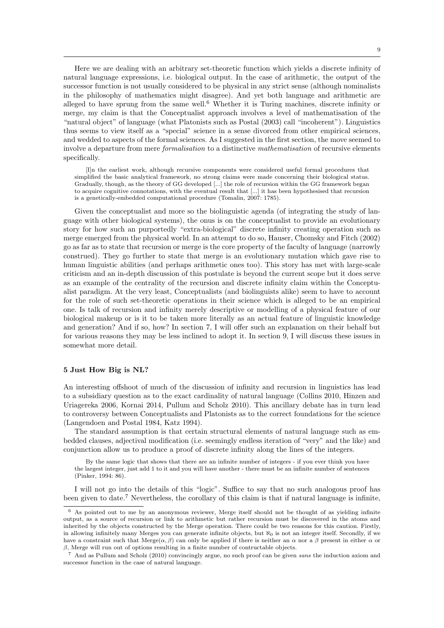Here we are dealing with an arbitrary set-theoretic function which yields a discrete infinity of natural language expressions, i.e. biological output. In the case of arithmetic, the output of the successor function is not usually considered to be physical in any strict sense (although nominalists in the philosophy of mathematics might disagree). And yet both language and arithmetic are alleged to have sprung from the same well.<sup>6</sup> Whether it is Turing machines, discrete infinity or merge, my claim is that the Conceptualist approach involves a level of mathematisation of the "natural object" of language (what Platonists such as Postal (2003) call "incoherent"). Linguistics thus seems to view itself as a "special" science in a sense divorced from other empirical sciences, and wedded to aspects of the formal sciences. As I suggested in the first section, the move seemed to involve a departure from mere *formalisation* to a distinctive *mathematisation* of recursive elements specifically.

[I]n the earliest work, although recursive components were considered useful formal procedures that simplified the basic analytical framework, no strong claims were made concerning their biological status. Gradually, though, as the theory of GG developed [...] the role of recursion within the GG framework began to acquire cognitive connotations, with the eventual result that [...] it has been hypothesised that recursion is a genetically-embedded computational procedure (Tomalin, 2007: 1785).

Given the conceptualist and more so the biolinguistic agenda (of integrating the study of language with other biological systems), the onus is on the conceptualist to provide an evolutionary story for how such an purportedly "extra-biological" discrete infinity creating operation such as merge emerged from the physical world. In an attempt to do so, Hauser, Chomsky and Fitch (2002) go as far as to state that recursion or merge is the core property of the faculty of language (narrowly construed). They go further to state that merge is an evolutionary mutation which gave rise to human linguistic abilities (and perhaps arithmetic ones too). This story has met with large-scale criticism and an in-depth discussion of this postulate is beyond the current scope but it does serve as an example of the centrality of the recursion and discrete infinity claim within the Conceptualist paradigm. At the very least, Conceptualists (and biolinguists alike) seem to have to account for the role of such set-theoretic operations in their science which is alleged to be an empirical one. Is talk of recursion and infinity merely descriptive or modelling of a physical feature of our biological makeup or is it to be taken more literally as an actual feature of linguistic knowledge and generation? And if so, how? In section 7, I will offer such an explanation on their behalf but for various reasons they may be less inclined to adopt it. In section 9, I will discuss these issues in somewhat more detail.

# 5 Just How Big is NL?

An interesting offshoot of much of the discussion of infinity and recursion in linguistics has lead to a subsidiary question as to the exact cardinality of natural language (Collins 2010, Hinzen and Uriagereka 2006, Kornai 2014, Pullum and Scholz 2010). This ancillary debate has in turn lead to controversy between Conceptualists and Platonists as to the correct foundations for the science (Langendoen and Postal 1984, Katz 1994).

The standard assumption is that certain structural elements of natural language such as embedded clauses, adjectival modification (i.e. seemingly endless iteration of "very" and the like) and conjunction allow us to produce a proof of discrete infinity along the lines of the integers.

By the same logic that shows that there are an infinite number of integers - if you ever think you have the largest integer, just add 1 to it and you will have another - there must be an infinite number of sentences (Pinker, 1994: 86).

I will not go into the details of this "logic". Suffice to say that no such analogous proof has been given to date.<sup>7</sup> Nevertheless, the corollary of this claim is that if natural language is infinite,

<sup>6</sup> As pointed out to me by an anonymous reviewer, Merge itself should not be thought of as yielding infinite output, as a source of recursion or link to arithmetic but rather recursion must be discovered in the atoms and inherited by the objects constructed by the Merge operation. There could be two reasons for this caution. Firstly, in allowing infinitely many Merges you can generate infinite objects, but  $\aleph_0$  is not an integer itself. Secondly, if we have a constraint such that Merge $(\alpha, \beta)$  can only be applied if there is neither an  $\alpha$  nor a  $\beta$  present in either  $\alpha$  or  $\beta$ , Merge will run out of options resulting in a finite number of contructable objects.

<sup>7</sup> And as Pullum and Scholz (2010) convincingly argue, no such proof can be given sans the induction axiom and successor function in the case of natural language.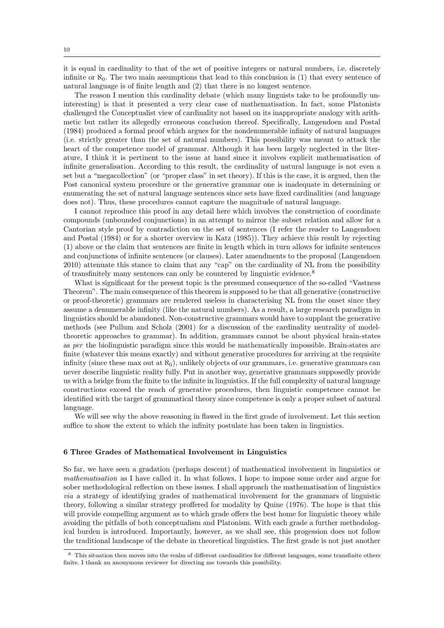it is equal in cardinality to that of the set of positive integers or natural numbers, i.e. discretely infinite or  $\aleph_0$ . The two main assumptions that lead to this conclusion is (1) that every sentence of natural language is of finite length and (2) that there is no longest sentence.

The reason I mention this cardinality debate (which many linguists take to be profoundly uninteresting) is that it presented a very clear case of mathematisation. In fact, some Platonists challenged the Conceptualist view of cardinality not based on its inappropriate analogy with arithmetic but rather its allegedly erroneous conclusion thereof. Specifically, Langendoen and Postal (1984) produced a formal proof which argues for the nondenumerable infinity of natural languages (i.e. strictly greater than the set of natural numbers). This possibility was meant to attack the heart of the competence model of grammar. Although it has been largely neglected in the literature, I think it is pertinent to the issue at hand since it involves explicit mathematisation of infinite generalisation. According to this result, the cardinality of natural language is not even a set but a "megacollection" (or "proper class" in set theory). If this is the case, it is argued, then the Post canonical system procedure or the generative grammar one is inadequate in determining or enumerating the set of natural language sentences since sets have fixed cardinalities (and language does not). Thus, these procedures cannot capture the magnitude of natural language.

I cannot reproduce this proof in any detail here which involves the construction of coordinate compounds (unbounded conjunctions) in an attempt to mirror the subset relation and allow for a Cantorian style proof by contradiction on the set of sentences (I refer the reader to Langendoen and Postal (1984) or for a shorter overview in Katz (1985)). They achieve this result by rejecting (1) above or the claim that sentences are finite in length which in turn allows for infinite sentences and conjunctions of infinite sentences (or clauses). Later amendments to the proposal (Langendoen 2010) attenuate this stance to claim that any "cap" on the cardinality of NL from the possibility of transfinitely many sentences can only be countered by linguistic evidence.<sup>8</sup>

What is significant for the present topic is the presumed consequence of the so-called "Vastness Theorem". The main consequence of this theorem is supposed to be that all generative (constructive or proof-theoretic) grammars are rendered useless in characterising NL from the onset since they assume a denumerable infinity (like the natural numbers). As a result, a large research paradigm in linguistics should be abandoned. Non-constructive grammars would have to supplant the generative methods (see Pullum and Scholz (2001) for a discussion of the cardinality neutrality of modeltheoretic approaches to grammar). In addition, grammars cannot be about physical brain-states as per the biolinguistic paradigm since this would be mathematically impossible. Brain-states are finite (whatever this means exactly) and without generative procedures for arriving at the requisite infinity (since these max out at  $\aleph_0$ ), unlikely objects of our grammars, i.e. generative grammars can never describe linguistic reality fully. Put in another way, generative grammars supposedly provide us with a bridge from the finite to the infinite in linguistics. If the full complexity of natural language constructions exceed the reach of generative procedures, then linguistic competence cannot be identified with the target of grammatical theory since competence is only a proper subset of natural language.

We will see why the above reasoning in flawed in the first grade of involvement. Let this section suffice to show the extent to which the infinity postulate has been taken in linguistics.

# 6 Three Grades of Mathematical Involvement in Linguistics

So far, we have seen a gradation (perhaps descent) of mathematical involvement in linguistics or mathematisation as I have called it. In what follows, I hope to impose some order and argue for sober methodological reflection on these issues. I shall approach the mathematisation of linguistics via a strategy of identifying grades of mathematical involvement for the grammars of linguistic theory, following a similar strategy proffered for modality by Quine (1976). The hope is that this will provide compelling argument as to which grade offers the best home for linguistic theory while avoiding the pitfalls of both conceptualism and Platonism. With each grade a further methodological burden is introduced. Importantly, however, as we shall see, this progession does not follow the traditional landscape of the debate in theoretical linguistics. The first grade is not just another

<sup>&</sup>lt;sup>8</sup> This situation then moves into the realm of different cardinalities for different languages, some transfinite others finite. I thank an anonymous reviewer for directing me towards this possibility.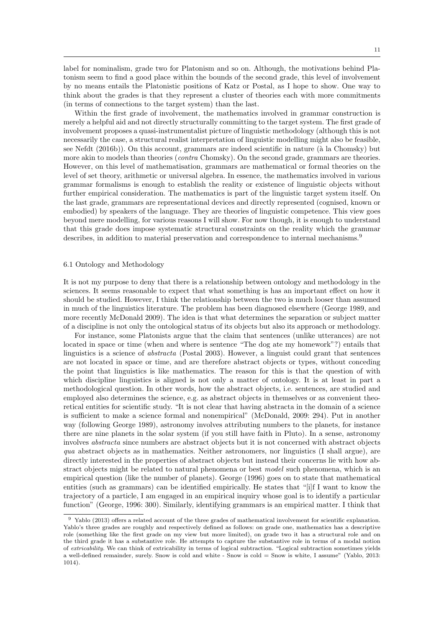label for nominalism, grade two for Platonism and so on. Although, the motivations behind Platonism seem to find a good place within the bounds of the second grade, this level of involvement by no means entails the Platonistic positions of Katz or Postal, as I hope to show. One way to think about the grades is that they represent a cluster of theories each with more commitments (in terms of connections to the target system) than the last.

Within the first grade of involvement, the mathematics involved in grammar construction is merely a helpful aid and not directly structurally committing to the target system. The first grade of involvement proposes a quasi-instrumentalist picture of linguistic methodology (although this is not necessarily the case, a structural realist interpretation of linguistic modelling might also be feasible, see Nefdt  $(2016b)$ ). On this account, grammars are indeed scientific in nature (à la Chomsky) but more akin to models than theories (*contra* Chomsky). On the second grade, grammars are theories. However, on this level of mathematisation, grammars are mathematical or formal theories on the level of set theory, arithmetic or universal algebra. In essence, the mathematics involved in various grammar formalisms is enough to establish the reality or existence of linguistic objects without further empirical consideration. The mathematics is part of the linguistic target system itself. On the last grade, grammars are representational devices and directly represented (cognised, known or embodied) by speakers of the language. They are theories of linguistic competence. This view goes beyond mere modelling, for various reasons I will show. For now though, it is enough to understand that this grade does impose systematic structural constraints on the reality which the grammar describes, in addition to material preservation and correspondence to internal mechanisms.<sup>9</sup>

# 6.1 Ontology and Methodology

It is not my purpose to deny that there is a relationship between ontology and methodology in the sciences. It seems reasonable to expect that what something is has an important effect on how it should be studied. However, I think the relationship between the two is much looser than assumed in much of the linguistics literature. The problem has been diagnosed elsewhere (George 1989, and more recently McDonald 2009). The idea is that what determines the separation or subject matter of a discipline is not only the ontological status of its objects but also its approach or methodology.

For instance, some Platonists argue that the claim that sentences (unlike utterances) are not located in space or time (when and where is sentence "The dog ate my homework"?) entails that linguistics is a science of abstracta (Postal 2003). However, a linguist could grant that sentences are not located in space or time, and are therefore abstract objects or types, without conceding the point that linguistics is like mathematics. The reason for this is that the question of with which discipline linguistics is aligned is not only a matter of ontology. It is at least in part a methodological question. In other words, how the abstract objects, i.e. sentences, are studied and employed also determines the science, e.g. as abstract objects in themselves or as convenient theoretical entities for scientific study. "It is not clear that having abstracta in the domain of a science is sufficient to make a science formal and nonempirical" (McDonald, 2009: 294). Put in another way (following George 1989), astronomy involves attributing numbers to the planets, for instance there are nine planets in the solar system (if you still have faith in Pluto). In a sense, astronomy involves abstracta since numbers are abstract objects but it is not concerned with abstract objects qua abstract objects as in mathematics. Neither astronomers, nor linguistics (I shall argue), are directly interested in the properties of abstract objects but instead their concerns lie with how abstract objects might be related to natural phenomena or best model such phenomena, which is an empirical question (like the number of planets). George (1996) goes on to state that mathematical entities (such as grammars) can be identified empirically. He states that "[i]f I want to know the trajectory of a particle, I am engaged in an empirical inquiry whose goal is to identify a particular function" (George, 1996: 300). Similarly, identifying grammars is an empirical matter. I think that

<sup>9</sup> Yablo (2013) offers a related account of the three grades of mathematical involvement for scientific explanation. Yablo's three grades are roughly and respectively defined as follows: on grade one, mathematics has a descriptive role (something like the first grade on my view but more limited), on grade two it has a structural role and on the third grade it has a substantive role. He attempts to capture the substantive role in terms of a modal notion of extricability. We can think of extricability in terms of logical subtraction. "Logical subtraction sometimes yields a well-defined remainder, surely. Snow is cold and white - Snow is cold = Snow is white, I assume" (Yablo, 2013: 1014).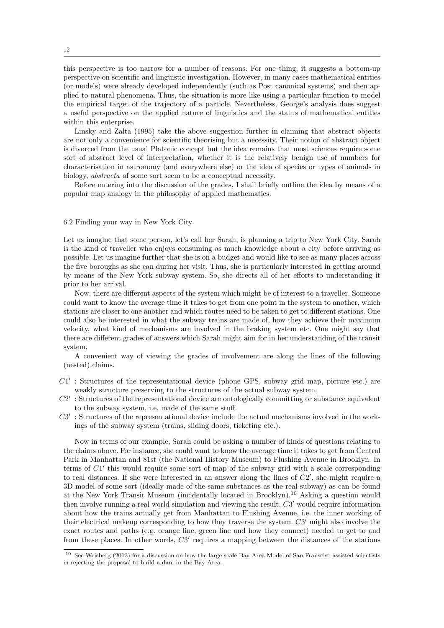this perspective is too narrow for a number of reasons. For one thing, it suggests a bottom-up perspective on scientific and linguistic investigation. However, in many cases mathematical entities (or models) were already developed independently (such as Post canonical systems) and then applied to natural phenomena. Thus, the situation is more like using a particular function to model the empirical target of the trajectory of a particle. Nevertheless, George's analysis does suggest a useful perspective on the applied nature of linguistics and the status of mathematical entities within this enterprise.

Linsky and Zalta (1995) take the above suggestion further in claiming that abstract objects are not only a convenience for scientific theorising but a necessity. Their notion of abstract object is divorced from the usual Platonic concept but the idea remains that most sciences require some sort of abstract level of interpretation, whether it is the relatively benign use of numbers for characterisation in astronomy (and everywhere else) or the idea of species or types of animals in biology, abstracta of some sort seem to be a conceptual necessity.

Before entering into the discussion of the grades, I shall briefly outline the idea by means of a popular map analogy in the philosophy of applied mathematics.

#### 6.2 Finding your way in New York City

Let us imagine that some person, let's call her Sarah, is planning a trip to New York City. Sarah is the kind of traveller who enjoys consuming as much knowledge about a city before arriving as possible. Let us imagine further that she is on a budget and would like to see as many places across the five boroughs as she can during her visit. Thus, she is particularly interested in getting around by means of the New York subway system. So, she directs all of her efforts to understanding it prior to her arrival.

Now, there are different aspects of the system which might be of interest to a traveller. Someone could want to know the average time it takes to get from one point in the system to another, which stations are closer to one another and which routes need to be taken to get to different stations. One could also be interested in what the subway trains are made of, how they achieve their maximum velocity, what kind of mechanisms are involved in the braking system etc. One might say that there are different grades of answers which Sarah might aim for in her understanding of the transit system.

A convenient way of viewing the grades of involvement are along the lines of the following (nested) claims.

- $C1'$ : Structures of the representational device (phone GPS, subway grid map, picture etc.) are weakly structure preserving to the structures of the actual subway system.
- $C2'$ : Structures of the representational device are ontologically committing or substance equivalent to the subway system, i.e. made of the same stuff.
- $C3'$ : Structures of the representational device include the actual mechanisms involved in the workings of the subway system (trains, sliding doors, ticketing etc.).

Now in terms of our example, Sarah could be asking a number of kinds of questions relating to the claims above. For instance, she could want to know the average time it takes to get from Central Park in Manhattan and 81st (the National History Museum) to Flushing Avenue in Brooklyn. In terms of  $C1'$  this would require some sort of map of the subway grid with a scale corresponding to real distances. If she were interested in an answer along the lines of  $C2'$ , she might require a 3D model of some sort (ideally made of the same substances as the real subway) as can be found at the New York Transit Museum (incidentally located in Brooklyn).<sup>10</sup> Asking a question would then involve running a real world simulation and viewing the result.  $C3'$  would require information about how the trains actually get from Manhattan to Flushing Avenue, i.e. the inner working of their electrical makeup corresponding to how they traverse the system.  $C3'$  might also involve the exact routes and paths (e.g. orange line, green line and how they connect) needed to get to and from these places. In other words,  $C3'$  requires a mapping between the distances of the stations

<sup>10</sup> See Weisberg (2013) for a discussion on how the large scale Bay Area Model of San Fransciso assisted scientists in rejecting the proposal to build a dam in the Bay Area.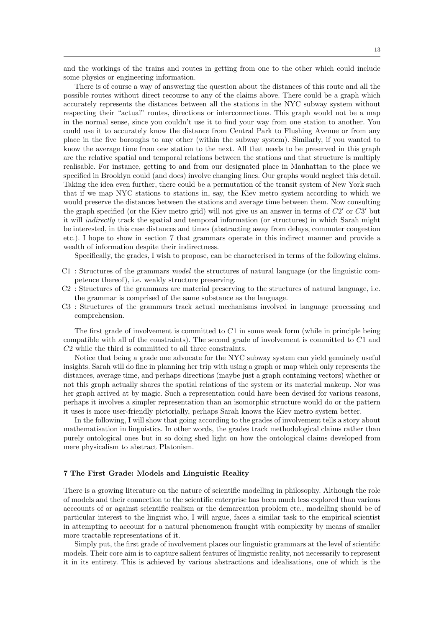and the workings of the trains and routes in getting from one to the other which could include some physics or engineering information.

There is of course a way of answering the question about the distances of this route and all the possible routes without direct recourse to any of the claims above. There could be a graph which accurately represents the distances between all the stations in the NYC subway system without respecting their "actual" routes, directions or interconnections. This graph would not be a map in the normal sense, since you couldn't use it to find your way from one station to another. You could use it to accurately know the distance from Central Park to Flushing Avenue or from any place in the five boroughs to any other (within the subway system). Similarly, if you wanted to know the average time from one station to the next. All that needs to be preserved in this graph are the relative spatial and temporal relations between the stations and that structure is multiply realisable. For instance, getting to and from our designated place in Manhattan to the place we specified in Brooklyn could (and does) involve changing lines. Our graphs would neglect this detail. Taking the idea even further, there could be a permutation of the transit system of New York such that if we map NYC stations to stations in, say, the Kiev metro system according to which we would preserve the distances between the stations and average time between them. Now consulting the graph specified (or the Kiev metro grid) will not give us an answer in terms of  $C2'$  or  $C3'$  but it will indirectly track the spatial and temporal information (or structures) in which Sarah might be interested, in this case distances and times (abstracting away from delays, commuter congestion etc.). I hope to show in section 7 that grammars operate in this indirect manner and provide a wealth of information despite their indirectness.

Specifically, the grades, I wish to propose, can be characterised in terms of the following claims.

- C1 : Structures of the grammars model the structures of natural language (or the linguistic competence thereof), i.e. weakly structure preserving.
- C2 : Structures of the grammars are material preserving to the structures of natural language, i.e. the grammar is comprised of the same substance as the language.
- C3 : Structures of the grammars track actual mechanisms involved in language processing and comprehension.

The first grade of involvement is committed to  $C1$  in some weak form (while in principle being compatible with all of the constraints). The second grade of involvement is committed to C1 and C2 while the third is committed to all three constraints.

Notice that being a grade one advocate for the NYC subway system can yield genuinely useful insights. Sarah will do fine in planning her trip with using a graph or map which only represents the distances, average time, and perhaps directions (maybe just a graph containing vectors) whether or not this graph actually shares the spatial relations of the system or its material makeup. Nor was her graph arrived at by magic. Such a representation could have been devised for various reasons, perhaps it involves a simpler representation than an isomorphic structure would do or the pattern it uses is more user-friendly pictorially, perhaps Sarah knows the Kiev metro system better.

In the following, I will show that going according to the grades of involvement tells a story about mathematisation in linguistics. In other words, the grades track methodological claims rather than purely ontological ones but in so doing shed light on how the ontological claims developed from mere physicalism to abstract Platonism.

## 7 The First Grade: Models and Linguistic Reality

There is a growing literature on the nature of scientific modelling in philosophy. Although the role of models and their connection to the scientific enterprise has been much less explored than various acccounts of or against scientific realism or the demarcation problem etc., modelling should be of particular interest to the linguist who, I will argue, faces a similar task to the empirical scientist in attempting to account for a natural phenomenon fraught with complexity by means of smaller more tractable representations of it.

Simply put, the first grade of involvement places our linguistic grammars at the level of scientific models. Their core aim is to capture salient features of linguistic reality, not necessarily to represent it in its entirety. This is achieved by various abstractions and idealisations, one of which is the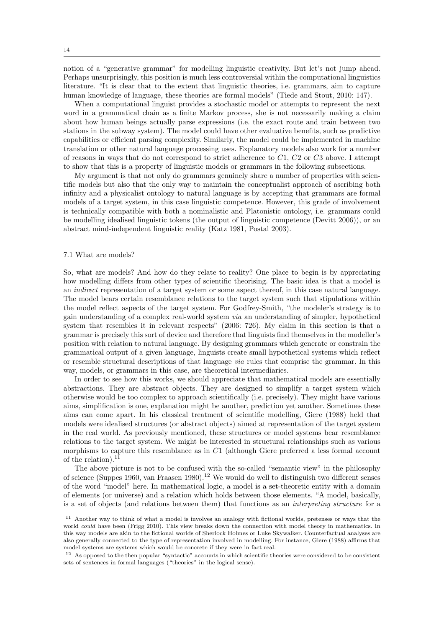notion of a "generative grammar" for modelling linguistic creativity. But let's not jump ahead. Perhaps unsurprisingly, this position is much less controversial within the computational linguistics literature. "It is clear that to the extent that linguistic theories, i.e. grammars, aim to capture human knowledge of language, these theories are formal models" (Tiede and Stout, 2010: 147).

When a computational linguist provides a stochastic model or attempts to represent the next word in a grammatical chain as a finite Markov process, she is not necessarily making a claim about how human beings actually parse expressions (i.e. the exact route and train between two stations in the subway system). The model could have other evaluative benefits, such as predictive capabilities or efficient parsing complexity. Similarly, the model could be implemented in machine translation or other natural language processing uses. Explanatory models also work for a number of reasons in ways that do not correspond to strict adherence to  $C_1$ ,  $C_2$  or  $C_3$  above. I attempt to show that this is a property of linguistic models or grammars in the following subsections.

My argument is that not only do grammars genuinely share a number of properties with scientific models but also that the only way to maintain the conceptualist approach of ascribing both infinity and a physicalist ontology to natural language is by accepting that grammars are formal models of a target system, in this case linguistic competence. However, this grade of involvement is technically compatible with both a nominalistic and Platonistic ontology, i.e. grammars could be modelling idealised linguistic tokens (the output of linguistic competence (Devitt 2006)), or an abstract mind-independent linguistic reality (Katz 1981, Postal 2003).

#### 7.1 What are models?

So, what are models? And how do they relate to reality? One place to begin is by appreciating how modelling differs from other types of scientific theorising. The basic idea is that a model is an indirect representation of a target system or some aspect thereof, in this case natural language. The model bears certain resemblance relations to the target system such that stipulations within the model reflect aspects of the target system. For Godfrey-Smith, "the modeler's strategy is to gain understanding of a complex real-world system via an understanding of simpler, hypothetical system that resembles it in relevant respects" (2006: 726). My claim in this section is that a grammar is precisely this sort of device and therefore that linguists find themselves in the modeller's position with relation to natural language. By designing grammars which generate or constrain the grammatical output of a given language, linguists create small hypothetical systems which reflect or resemble structural descriptions of that language via rules that comprise the grammar. In this way, models, or grammars in this case, are theoretical intermediaries.

In order to see how this works, we should appreciate that mathematical models are essentially abstractions. They are abstract objects. They are designed to simplify a target system which otherwise would be too complex to approach scientifically (i.e. precisely). They might have various aims, simplification is one, explanation might be another, prediction yet another. Sometimes these aims can come apart. In his classical treatment of scientific modelling, Giere (1988) held that models were idealised structures (or abstract objects) aimed at representation of the target system in the real world. As previously mentioned, these structures or model systems bear resemblance relations to the target system. We might be interested in structural relationships such as various morphisms to capture this resemblance as in C1 (although Giere preferred a less formal account of the relation). $^{11}$ 

The above picture is not to be confused with the so-called "semantic view" in the philosophy of science (Suppes 1960, van Fraasen 1980).<sup>12</sup> We would do well to distinguish two different senses of the word "model" here. In mathematical logic, a model is a set-theoretic entity with a domain of elements (or universe) and a relation which holds between those elements. "A model, basically, is a set of objects (and relations between them) that functions as an interpreting structure for a

<sup>11</sup> Another way to think of what a model is involves an analogy with fictional worlds, pretenses or ways that the world could have been (Frigg 2010). This view breaks down the connection with model theory in mathematics. In this way models are akin to the fictional worlds of Sherlock Holmes or Luke Skywalker. Counterfactual analyses are also generally connected to the type of representation involved in modelling. For instance, Giere (1988) affirms that model systems are systems which would be concrete if they were in fact real.

 $12$  As opposed to the then popular "syntactic" accounts in which scientific theories were considered to be consistent sets of sentences in formal languages ("theories" in the logical sense).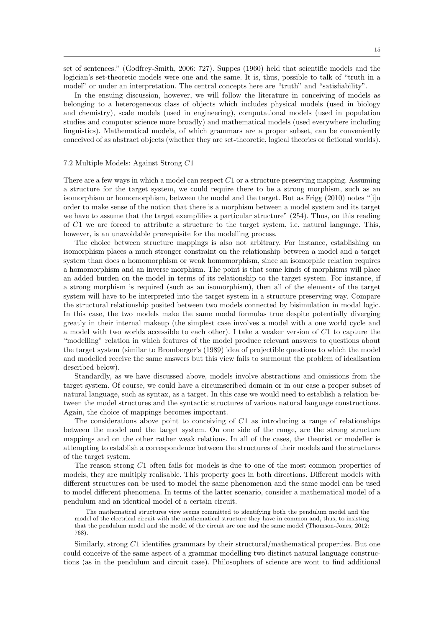set of sentences." (Godfrey-Smith, 2006: 727). Suppes (1960) held that scientific models and the logician's set-theoretic models were one and the same. It is, thus, possible to talk of "truth in a model" or under an interpretation. The central concepts here are "truth" and "satisfiability".

In the ensuing discussion, however, we will follow the literature in conceiving of models as belonging to a heterogeneous class of objects which includes physical models (used in biology and chemistry), scale models (used in engineering), computational models (used in population studies and computer science more broadly) and mathematical models (used everywhere including linguistics). Mathematical models, of which grammars are a proper subset, can be conveniently conceived of as abstract objects (whether they are set-theoretic, logical theories or fictional worlds).

# 7.2 Multiple Models: Against Strong C1

There are a few ways in which a model can respect C1 or a structure preserving mapping. Assuming a structure for the target system, we could require there to be a strong morphism, such as an isomorphism or homomorphism, between the model and the target. But as Frigg (2010) notes "[i]n order to make sense of the notion that there is a morphism between a model system and its target we have to assume that the target exemplifies a particular structure" (254). Thus, on this reading of C1 we are forced to attribute a structure to the target system, i.e. natural language. This, however, is an unavoidable prerequisite for the modelling process.

The choice between structure mappings is also not arbitrary. For instance, establishing an isomorphism places a much stronger constraint on the relationship between a model and a target system than does a homomorphism or weak homomorphism, since an isomorphic relation requires a homomorphism and an inverse morphism. The point is that some kinds of morphisms will place an added burden on the model in terms of its relationship to the target system. For instance, if a strong morphism is required (such as an isomorphism), then all of the elements of the target system will have to be interpreted into the target system in a structure preserving way. Compare the structural relationship posited between two models connected by bisimulation in modal logic. In this case, the two models make the same modal formulas true despite potentially diverging greatly in their internal makeup (the simplest case involves a model with a one world cycle and a model with two worlds accessible to each other). I take a weaker version of C1 to capture the "modelling" relation in which features of the model produce relevant answers to questions about the target system (similar to Bromberger's (1989) idea of projectible questions to which the model and modelled receive the same answers but this view fails to surmount the problem of idealisation described below).

Standardly, as we have discussed above, models involve abstractions and omissions from the target system. Of course, we could have a circumscribed domain or in our case a proper subset of natural language, such as syntax, as a target. In this case we would need to establish a relation between the model structures and the syntactic structures of various natural language constructions. Again, the choice of mappings becomes important.

The considerations above point to conceiving of  $C1$  as introducing a range of relationships between the model and the target system. On one side of the range, are the strong structure mappings and on the other rather weak relations. In all of the cases, the theorist or modeller is attempting to establish a correspondence between the structures of their models and the structures of the target system.

The reason strong C1 often fails for models is due to one of the most common properties of models, they are multiply realisable. This property goes in both directions. Different models with different structures can be used to model the same phenomenon and the same model can be used to model different phenomena. In terms of the latter scenario, consider a mathematical model of a pendulum and an identical model of a certain circuit.

The mathematical structures view seems committed to identifying both the pendulum model and the model of the electrical circuit with the mathematical structure they have in common and, thus, to insisting that the pendulum model and the model of the circuit are one and the same model (Thomson-Jones, 2012: 768).

Similarly, strong C1 identifies grammars by their structural/mathematical properties. But one could conceive of the same aspect of a grammar modelling two distinct natural language constructions (as in the pendulum and circuit case). Philosophers of science are wont to find additional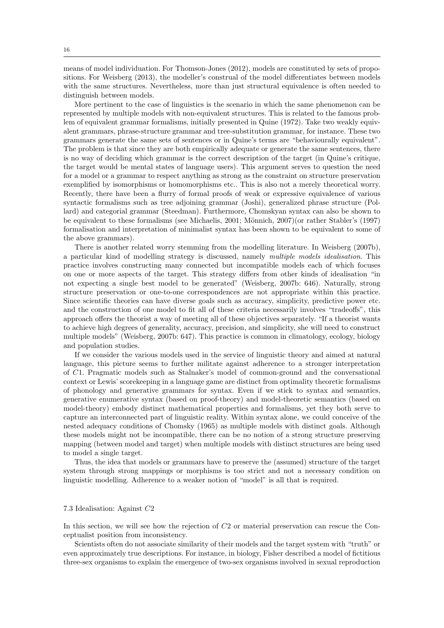means of model individuation. For Thomson-Jones (2012), models are constituted by sets of propositions. For Weisberg (2013), the modeller's construal of the model differentiates between models with the same structures. Nevertheless, more than just structural equivalence is often needed to distinguish between models.

More pertinent to the case of linguistics is the scenario in which the same phenomenon can be represented by multiple models with non-equivalent structures. This is related to the famous problem of equivalent grammar formalisms, initially presented in Quine (1972). Take two weakly equivalent grammars, phrase-structure grammar and tree-substitution grammar, for instance. These two grammars generate the same sets of sentences or in Quine's terms are "behaviourally equivalent". The problem is that since they are both empirically adequate or generate the same sentences, there is no way of deciding which grammar is the correct description of the target (in Quine's critique, the target would be mental states of language users). This argument serves to question the need for a model or a grammar to respect anything as strong as the constraint on structure preservation exemplified by isomorphisms or homomorphisms etc.. This is also not a merely theoretical worry. Recently, there have been a flurry of formal proofs of weak or expressive equivalence of various syntactic formalisms such as tree adjoining grammar (Joshi), generalized phrase structure (Pollard) and categorial grammar (Steedman). Furthermore, Chomskyan syntax can also be shown to be equivalent to these formalisms (see Michaelis, 2001; Mönnich, 2007)(or rather Stabler's (1997) formalisation and interpretation of minimalist syntax has been shown to be equivalent to some of the above grammars).

There is another related worry stemming from the modelling literature. In Weisberg (2007b), a particular kind of modelling strategy is discussed, namely multiple models idealisation. This practice involves constructing many connected but incompatible models each of which focuses on one or more aspects of the target. This strategy differs from other kinds of idealisation "in not expecting a single best model to be generated" (Weisberg, 2007b: 646). Naturally, strong structure preservation or one-to-one correspondences are not appropriate within this practice. Since scientific theories can have diverse goals such as accuracy, simplicity, predictive power etc. and the construction of one model to fit all of these criteria necessarily involves "tradeoffs", this approach offers the theorist a way of meeting all of these objectives separately. "If a theorist wants to achieve high degrees of generality, accuracy, precision, and simplicity, she will need to construct multiple models" (Weisberg, 2007b: 647). This practice is common in climatology, ecology, biology and population studies.

If we consider the various models used in the service of linguistic theory and aimed at natural language, this picture seems to further militate against adherence to a stronger interpretation of C1. Pragmatic models such as Stalnaker's model of common-ground and the conversational context or Lewis' scorekeeping in a language game are distinct from optimality theoretic formalisms of phonology and generative grammars for syntax. Even if we stick to syntax and semantics, generative enumerative syntax (based on proof-theory) and model-theoretic semantics (based on model-theory) embody distinct mathematical properties and formalisms, yet they both serve to capture an interconnected part of linguistic reality. Within syntax alone, we could conceive of the nested adequacy conditions of Chomsky (1965) as multiple models with distinct goals. Although these models might not be incompatible, there can be no notion of a strong structure preserving mapping (between model and target) when multiple models with distinct structures are being used to model a single target.

Thus, the idea that models or grammars have to preserve the (assumed) structure of the target system through strong mappings or morphisms is too strict and not a necessary condition on linguistic modelling. Adherence to a weaker notion of "model" is all that is required.

## 7.3 Idealisation: Against C2

In this section, we will see how the rejection of  $C2$  or material preservation can rescue the Conceptualist position from inconsistency.

Scientists often do not associate similarity of their models and the target system with "truth" or even approximately true descriptions. For instance, in biology, Fisher described a model of fictitious three-sex organisms to explain the emergence of two-sex organisms involved in sexual reproduction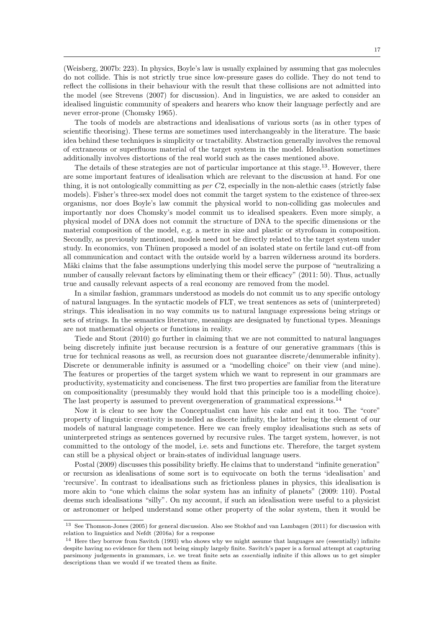(Weisberg, 2007b: 223). In physics, Boyle's law is usually explained by assuming that gas molecules do not collide. This is not strictly true since low-pressure gases do collide. They do not tend to reflect the collisions in their behaviour with the result that these collisions are not admitted into the model (see Strevens (2007) for discussion). And in linguistics, we are asked to consider an idealised linguistic community of speakers and hearers who know their language perfectly and are never error-prone (Chomsky 1965).

The tools of models are abstractions and idealisations of various sorts (as in other types of scientific theorising). These terms are sometimes used interchangeably in the literature. The basic idea behind these techniques is simplicity or tractability. Abstraction generally involves the removal of extraneous or superfluous material of the target system in the model. Idealisation sometimes additionally involves distortions of the real world such as the cases mentioned above.

The details of these strategies are not of particular importance at this stage.<sup>13</sup>. However, there are some important features of idealisation which are relevant to the discussion at hand. For one thing, it is not ontologically committing as *per C2*, especially in the non-alethic cases (strictly false models). Fisher's three-sex model does not commit the target system to the existence of three-sex organisms, nor does Boyle's law commit the physical world to non-colliding gas molecules and importantly nor does Chomsky's model commit us to idealised speakers. Even more simply, a physical model of DNA does not commit the structure of DNA to the specific dimensions or the material composition of the model, e.g. a metre in size and plastic or styrofoam in composition. Secondly, as previously mentioned, models need not be directly related to the target system under study. In economics, von Thünen proposed a model of an isolated state on fertile land cut-off from all communication and contact with the outside world by a barren wilderness around its borders. Mäki claims that the false assumptions underlying this model serve the purpose of "neutralizing a number of causally relevant factors by eliminating them or their efficacy" (2011: 50). Thus, actually true and causally relevant aspects of a real economy are removed from the model.

In a similar fashion, grammars understood as models do not commit us to any specific ontology of natural languages. In the syntactic models of FLT, we treat sentences as sets of (uninterpreted) strings. This idealisation in no way commits us to natural language expressions being strings or sets of strings. In the semantics literature, meanings are designated by functional types. Meanings are not mathematical objects or functions in reality.

Tiede and Stout (2010) go further in claiming that we are not committed to natural languages being discretely infinite just because recursion is a feature of our generative grammars (this is true for technical reasons as well, as recursion does not guarantee discrete/denumerable infinity). Discrete or denumerable infinity is assumed or a "modelling choice" on their view (and mine). The features or properties of the target system which we want to represent in our grammars are productivity, systematicity and conciseness. The first two properties are familiar from the literature on compositionality (presumably they would hold that this principle too is a modelling choice). The last property is assumed to prevent overgeneration of grammatical expressions.<sup>14</sup>

Now it is clear to see how the Conceptualist can have his cake and eat it too. The "core" property of linguistic creativity is modelled as discete infinity, the latter being the element of our models of natural language competence. Here we can freely employ idealisations such as sets of uninterpreted strings as sentences governed by recursive rules. The target system, however, is not committed to the ontology of the model, i.e. sets and functions etc. Therefore, the target system can still be a physical object or brain-states of individual language users.

Postal (2009) discusses this possibility briefly. He claims that to understand "infinite generation" or recursion as idealisations of some sort is to equivocate on both the terms 'idealisation' and 'recursive'. In contrast to idealisations such as frictionless planes in physics, this idealisation is more akin to "one which claims the solar system has an infinity of planets" (2009: 110). Postal deems such idealisations "silly". On my account, if such an idealisation were useful to a physicist or astronomer or helped understand some other property of the solar system, then it would be

<sup>13</sup> See Thomson-Jones (2005) for general discussion. Also see Stokhof and van Lambagen (2011) for discussion with relation to linguistics and Nefdt (2016a) for a response

<sup>&</sup>lt;sup>14</sup> Here they borrow from Savitch (1993) who shows why we might assume that languages are (essentially) infinite despite having no evidence for them not being simply largely finite. Savitch's paper is a formal attempt at capturing parsimony judgements in grammars, i.e. we treat finite sets as essentially infinite if this allows us to get simpler descriptions than we would if we treated them as finite.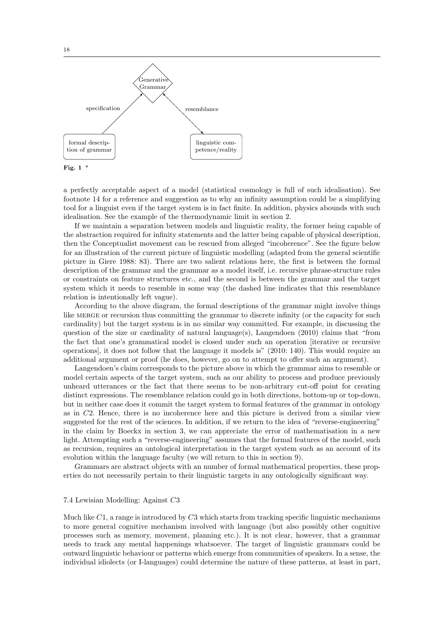



a perfectly acceptable aspect of a model (statistical cosmology is full of such idealisation). See footnote 14 for a reference and suggestion as to why an infinity assumption could be a simplifying tool for a linguist even if the target system is in fact finite. In addition, physics abounds with such idealisation. See the example of the thermodynamic limit in section 2.

If we maintain a separation between models and linguistic reality, the former being capable of the abstraction required for infinity statements and the latter being capable of physical description, then the Conceptualist movement can be rescued from alleged "incoherence". See the figure below for an illustration of the current picture of linguistic modelling (adapted from the general scientific picture in Giere 1988: 83). There are two salient relations here, the first is between the formal description of the grammar and the grammar as a model itself, i.e. recursive phrase-structure rules or constraints on feature structures etc., and the second is between the grammar and the target system which it needs to resemble in some way (the dashed line indicates that this resemblance relation is intentionally left vague).

According to the above diagram, the formal descriptions of the grammar might involve things like MERGE or recursion thus committing the grammar to discrete infinity (or the capacity for such cardinality) but the target system is in no similar way committed. For example, in discussing the question of the size or cardinality of natural language(s), Langendoen  $(2010)$  claims that "from the fact that one's grammatical model is closed under such an operation [iterative or recursive operations], it does not follow that the language it models is" (2010: 140). This would require an additional argument or proof (he does, however, go on to attempt to offer such an argument).

Langendoen's claim corresponds to the picture above in which the grammar aims to resemble or model certain aspects of the target system, such as our ability to process and produce previously unheard utterances or the fact that there seems to be non-arbitrary cut-off point for creating distinct expressions. The resemblance relation could go in both directions, bottom-up or top-down, but in neither case does it commit the target system to formal features of the grammar in ontology as in C2. Hence, there is no incoherence here and this picture is derived from a similar view suggested for the rest of the sciences. In addition, if we return to the idea of "reverse-engineering" in the claim by Boeckx in section 3, we can appreciate the error of mathematisation in a new light. Attempting such a "reverse-engineering" assumes that the formal features of the model, such as recursion, requires an ontological interpretation in the target system such as an account of its evolution within the language faculty (we will return to this in section 9).

Grammars are abstract objects with an number of formal mathematical properties, these properties do not necessarily pertain to their linguistic targets in any ontologically significant way.

# 7.4 Lewisian Modelling: Against C3

Much like  $C1$ , a range is introduced by  $C3$  which starts from tracking specific linguistic mechanisms to more general cognitive mechanism involved with language (but also possibly other cognitive processes such as memory, movement, planning etc.). It is not clear, however, that a grammar needs to track any mental happenings whatsoever. The target of linguistic grammars could be outward linguistic behaviour or patterns which emerge from communities of speakers. In a sense, the individual idiolects (or I-languages) could determine the nature of these patterns, at least in part,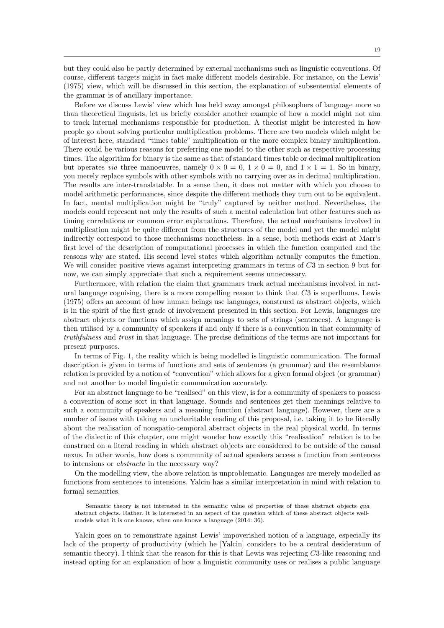but they could also be partly determined by external mechanisms such as linguistic conventions. Of course, different targets might in fact make different models desirable. For instance, on the Lewis' (1975) view, which will be discussed in this section, the explanation of subsentential elements of the grammar is of ancillary importance.

Before we discuss Lewis' view which has held sway amongst philosophers of language more so than theoretical linguists, let us briefly consider another example of how a model might not aim to track internal mechanisms responsible for production. A theorist might be interested in how people go about solving particular multiplication problems. There are two models which might be of interest here, standard "times table" multiplication or the more complex binary multiplication. There could be various reasons for preferring one model to the other such as respective processing times. The algorithm for binary is the same as that of standard times table or decimal multiplication but operates *via* three manoeuvres, namely  $0 \times 0 = 0$ ,  $1 \times 0 = 0$ , and  $1 \times 1 = 1$ . So in binary, you merely replace symbols with other symbols with no carrying over as in decimal multiplication. The results are inter-translatable. In a sense then, it does not matter with which you choose to model arithmetic performances, since despite the different methods they turn out to be equivalent. In fact, mental multiplication might be "truly" captured by neither method. Nevertheless, the models could represent not only the results of such a mental calculation but other features such as timing correlations or common error explanations. Therefore, the actual mechanisms involved in multiplication might be quite different from the structures of the model and yet the model might indirectly correspond to those mechanisms nonetheless. In a sense, both methods exist at Marr's first level of the description of computational processes in which the function computed and the reasons why are stated. His second level states which algorithm actually computes the function. We will consider positive views against interpreting grammars in terms of  $C3$  in section 9 but for now, we can simply appreciate that such a requirement seems unnecessary.

Furthermore, with relation the claim that grammars track actual mechanisms involved in natural language cognising, there is a more compelling reason to think that  $C3$  is superfluous. Lewis (1975) offers an account of how human beings use languages, construed as abstract objects, which is in the spirit of the first grade of involvement presented in this section. For Lewis, languages are abstract objects or functions which assign meanings to sets of strings (sentences). A language is then utilised by a community of speakers if and only if there is a convention in that community of truthfulness and trust in that language. The precise definitions of the terms are not important for present purposes.

In terms of Fig. 1, the reality which is being modelled is linguistic communication. The formal description is given in terms of functions and sets of sentences (a grammar) and the resemblance relation is provided by a notion of "convention" which allows for a given formal object (or grammar) and not another to model linguistic communication accurately.

For an abstract language to be "realised" on this view, is for a community of speakers to possess a convention of some sort in that language. Sounds and sentences get their meanings relative to such a community of speakers and a meaning function (abstract language). However, there are a number of issues with taking an uncharitable reading of this proposal, i.e. taking it to be literally about the realisation of nonspatio-temporal abstract objects in the real physical world. In terms of the dialectic of this chapter, one might wonder how exactly this "realisation" relation is to be construed on a literal reading in which abstract objects are considered to be outside of the causal nexus. In other words, how does a community of actual speakers access a function from sentences to intensions or abstracta in the necessary way?

On the modelling view, the above relation is unproblematic. Languages are merely modelled as functions from sentences to intensions. Yalcin has a similar interpretation in mind with relation to formal semantics.

Semantic theory is not interested in the semantic value of properties of these abstract objects qua abstract objects. Rather, it is interested in an aspect of the question which of these abstract objects wellmodels what it is one knows, when one knows a language (2014: 36).

Yalcin goes on to remonstrate against Lewis' impoverished notion of a language, especially its lack of the property of productivity (which he [Yalcin] considers to be a central desideratum of semantic theory). I think that the reason for this is that Lewis was rejecting C3-like reasoning and instead opting for an explanation of how a linguistic community uses or realises a public language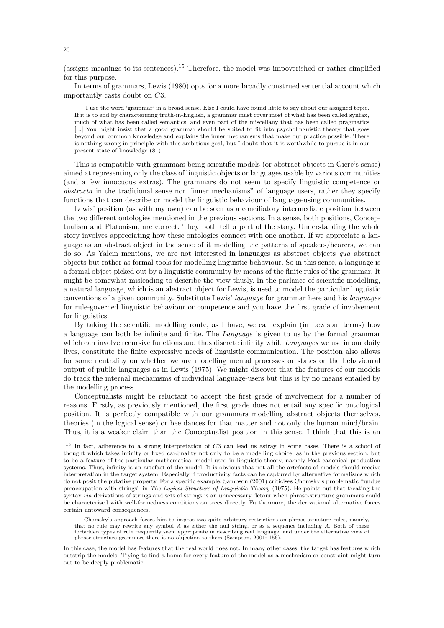(assigns meanings to its sentences).<sup>15</sup> Therefore, the model was impoverished or rather simplified for this purpose.

In terms of grammars, Lewis (1980) opts for a more broadly construed sentential account which importantly casts doubt on C3.

I use the word 'grammar' in a broad sense. Else I could have found little to say about our assigned topic. If it is to end by characterizing truth-in-English, a grammar must cover most of what has been called syntax, much of what has been called semantics, and even part of the miscellany that has been called pragmatics [...] You might insist that a good grammar should be suited to fit into psycholinguistic theory that goes beyond our common knowledge and explains the inner mechanisms that make our practice possible. There is nothing wrong in principle with this ambitious goal, but I doubt that it is worthwhile to pursue it in our present state of knowledge (81).

This is compatible with grammars being scientific models (or abstract objects in Giere's sense) aimed at representing only the class of linguistic objects or languages usable by various communities (and a few innocuous extras). The grammars do not seem to specify linguistic competence or abstracta in the traditional sense nor "inner mechanisms" of language users, rather they specify functions that can describe or model the linguistic behaviour of language-using communities.

Lewis' position (as with my own) can be seen as a conciliatory intermediate position between the two different ontologies mentioned in the previous sections. In a sense, both positions, Conceptualism and Platonism, are correct. They both tell a part of the story. Understanding the whole story involves appreciating how these ontologies connect with one another. If we appreciate a language as an abstract object in the sense of it modelling the patterns of speakers/hearers, we can do so. As Yalcin mentions, we are not interested in languages as abstract objects qua abstract objects but rather as formal tools for modelling linguistic behaviour. So in this sense, a language is a formal object picked out by a linguistic community by means of the finite rules of the grammar. It might be somewhat misleading to describe the view thusly. In the parlance of scientific modelling, a natural language, which is an abstract object for Lewis, is used to model the particular linguistic conventions of a given community. Substitute Lewis' language for grammar here and his languages for rule-governed linguistic behaviour or competence and you have the first grade of involvement for linguistics.

By taking the scientific modelling route, as I have, we can explain (in Lewisian terms) how a language can both be infinite and finite. The Language is given to us by the formal grammar which can involve recursive functions and thus discrete infinity while *Languages* we use in our daily lives, constitute the finite expressive needs of linguistic communication. The position also allows for some neutrality on whether we are modelling mental processes or states or the behavioural output of public languages as in Lewis (1975). We might discover that the features of our models do track the internal mechanisms of individual language-users but this is by no means entailed by the modelling process.

Conceptualists might be reluctant to accept the first grade of involvement for a number of reasons. Firstly, as previously mentioned, the first grade does not entail any specific ontological position. It is perfectly compatible with our grammars modelling abstract objects themselves, theories (in the logical sense) or bee dances for that matter and not only the human mind/brain. Thus, it is a weaker claim than the Conceptualist position in this sense. I think that this is an

<sup>&</sup>lt;sup>15</sup> In fact, adherence to a strong interpretation of C3 can lead us astray in some cases. There is a school of thought which takes infinity or fixed cardinality not only to be a modelling choice, as in the previous section, but to be a feature of the particular mathematical model used in linguistic theory, namely Post canonical production systems. Thus, infinity is an artefact of the model. It is obvious that not all the artefacts of models should receive interpretation in the target system. Especially if productivity facts can be captured by alternative formalisms which do not posit the putative property. For a specific example, Sampson (2001) criticises Chomsky's problematic "undue preoccupation with strings" in The Logical Structure of Linguistic Theory (1975). He points out that treating the syntax *via* derivations of strings and sets of strings is an unnecessary detour when phrase-structure grammars could be characterised with well-formedness conditions on trees directly. Furthermore, the derivational alternative forces certain untoward consequences.

Chomsky's approach forces him to impose two quite arbitrary restrictions on phrase-structure rules, namely, that no rule may rewrite any symbol  $\overline{A}$  as either the null string, or as a sequence including  $\overline{A}$ . Both of these forbidden types of rule frequently seem appropriate in describing real language, and under the alternative view of phrase-structure grammars there is no objection to them (Sampson, 2001: 156).

In this case, the model has features that the real world does not. In many other cases, the target has features which outstrip the models. Trying to find a home for every feature of the model as a mechanism or constraint might turn out to be deeply problematic.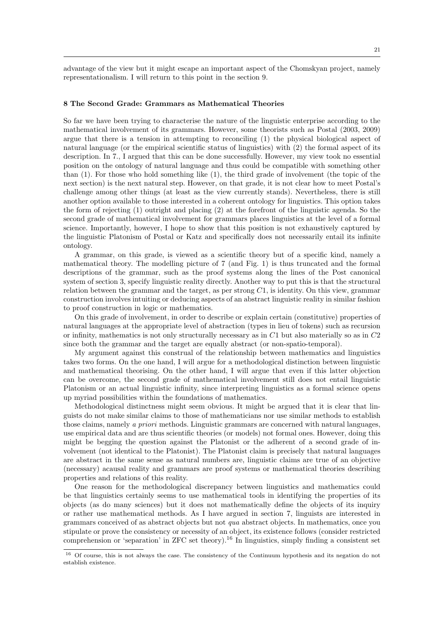advantage of the view but it might escape an important aspect of the Chomskyan project, namely representationalism. I will return to this point in the section 9.

# 8 The Second Grade: Grammars as Mathematical Theories

So far we have been trying to characterise the nature of the linguistic enterprise according to the mathematical involvement of its grammars. However, some theorists such as Postal (2003, 2009) argue that there is a tension in attempting to reconciling (1) the physical biological aspect of natural language (or the empirical scientific status of linguistics) with (2) the formal aspect of its description. In 7., I argued that this can be done successfully. However, my view took no essential position on the ontology of natural language and thus could be compatible with something other than (1). For those who hold something like (1), the third grade of involvement (the topic of the next section) is the next natural step. However, on that grade, it is not clear how to meet Postal's challenge among other things (at least as the view currently stands). Nevertheless, there is still another option available to those interested in a coherent ontology for linguistics. This option takes the form of rejecting (1) outright and placing (2) at the forefront of the linguistic agenda. So the second grade of mathematical involvement for grammars places linguistics at the level of a formal science. Importantly, however, I hope to show that this position is not exhaustively captured by the linguistic Platonism of Postal or Katz and specifically does not necessarily entail its infinite ontology.

A grammar, on this grade, is viewed as a scientific theory but of a specific kind, namely a mathematical theory. The modelling picture of 7 (and Fig. 1) is thus truncated and the formal descriptions of the grammar, such as the proof systems along the lines of the Post canonical system of section 3, specify linguistic reality directly. Another way to put this is that the structural relation between the grammar and the target, as per strong  $C_1$ , is identity. On this view, grammar construction involves intuiting or deducing aspects of an abstract linguistic reality in similar fashion to proof construction in logic or mathematics.

On this grade of involvement, in order to describe or explain certain (constitutive) properties of natural languages at the appropriate level of abstraction (types in lieu of tokens) such as recursion or infinity, mathematics is not only structurally necessary as in  $C1$  but also materially so as in  $C2$ since both the grammar and the target are equally abstract (or non-spatio-temporal).

My argument against this construal of the relationship between mathematics and linguistics takes two forms. On the one hand, I will argue for a methodological distinction between linguistic and mathematical theorising. On the other hand, I will argue that even if this latter objection can be overcome, the second grade of mathematical involvement still does not entail linguistic Platonism or an actual linguistic infinity, since interpreting linguistics as a formal science opens up myriad possibilities within the foundations of mathematics.

Methodological distinctness might seem obvious. It might be argued that it is clear that linguists do not make similar claims to those of mathematicians nor use similar methods to establish those claims, namely a priori methods. Linguistic grammars are concerned with natural languages, use empirical data and are thus scientific theories (or models) not formal ones. However, doing this might be begging the question against the Platonist or the adherent of a second grade of involvement (not identical to the Platonist). The Platonist claim is precisely that natural languages are abstract in the same sense as natural numbers are, linguistic claims are true of an objective (necessary) acausal reality and grammars are proof systems or mathematical theories describing properties and relations of this reality.

One reason for the methodological discrepancy between linguistics and mathematics could be that linguistics certainly seems to use mathematical tools in identifying the properties of its objects (as do many sciences) but it does not mathematically define the objects of its inquiry or rather use mathematical methods. As I have argued in section 7, linguists are interested in grammars conceived of as abstract objects but not qua abstract objects. In mathematics, once you stipulate or prove the consistency or necessity of an object, its existence follows (consider restricted comprehension or 'separation' in ZFC set theory).<sup>16</sup> In linguistics, simply finding a consistent set

<sup>&</sup>lt;sup>16</sup> Of course, this is not always the case. The consistency of the Continuum hypothesis and its negation do not establish existence.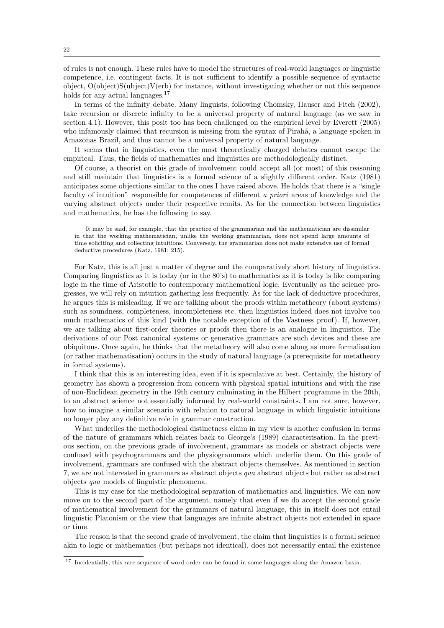of rules is not enough. These rules have to model the structures of real-world languages or linguistic competence, i.e. contingent facts. It is not sufficient to identify a possible sequence of syntactic  $object, O(object)S(ubject)V(erb)$  for instance, without investigating whether or not this sequence holds for any actual languages.<sup>17</sup>

In terms of the infinity debate. Many linguists, following Chomsky, Hauser and Fitch (2002), take recursion or discrete infinity to be a universal property of natural language (as we saw in section 4.1). However, this posit too has been challenged on the empirical level by Everett (2005) who infamously claimed that recursion is missing from the syntax of Pirahã, a language spoken in Amazonas Brazil, and thus cannot be a universal property of natural language.

It seems that in linguistics, even the most theoretically charged debates cannot escape the empirical. Thus, the fields of mathematics and linguistics are methodologically distinct.

Of course, a theorist on this grade of involvement could accept all (or most) of this reasoning and still maintain that linguistics is a formal science of a slightly different order. Katz (1981) anticipates some objections similar to the ones I have raised above. He holds that there is a "single faculty of intuition" responsible for competences of different a priori areas of knowledge and the varying abstract objects under their respective remits. As for the connection between linguistics and mathematics, he has the following to say.

It may be said, for example, that the practice of the grammarian and the mathematician are dissimilar in that the working mathematician, unlike the working grammarian, does not spend large amounts of time soliciting and collecting intuitions. Conversely, the grammarian does not make extensive use of formal deductive procedures (Katz, 1981: 215).

For Katz, this is all just a matter of degree and the comparatively short history of linguistics. Comparing linguistics as it is today (or in the 80's) to mathematics as it is today is like comparing logic in the time of Aristotle to contemporary mathematical logic. Eventually as the science progresses, we will rely on intuition gathering less frequently. As for the lack of deductive procedures, he argues this is misleading. If we are talking about the proofs within metatheory (about systems) such as soundness, completeness, incompleteness etc. then linguistics indeed does not involve too much mathematics of this kind (with the notable exception of the Vastness proof). If, however, we are talking about first-order theories or proofs then there is an analogue in linguistics. The derivations of our Post canonical systems or generative grammars are such devices and these are ubiquitous. Once again, he thinks that the metatheory will also come along as more formalisation (or rather mathematisation) occurs in the study of natural language (a prerequisite for metatheory in formal systems).

I think that this is an interesting idea, even if it is speculative at best. Certainly, the history of geometry has shown a progression from concern with physical spatial intuitions and with the rise of non-Euclidean geometry in the 19th century culminating in the Hilbert programme in the 20th, to an abstract science not essentially informed by real-world constraints. I am not sure, however, how to imagine a similar scenario with relation to natural language in which linguistic intuitions no longer play any definitive role in grammar construction.

What underlies the methodological distinctness claim in my view is another confusion in terms of the nature of grammars which relates back to George's (1989) characterisation. In the previous section, on the previous grade of involvement, grammars as models or abstract objects were confused with psychogrammars and the physiogrammars which underlie them. On this grade of involvement, grammars are confused with the abstract objects themselves. As mentioned in section 7, we are not interested in grammars as abstract objects qua abstract objects but rather as abstract objects qua models of linguistic phenomena.

This is my case for the methodological separation of mathematics and linguistics. We can now move on to the second part of the argument, namely that even if we do accept the second grade of mathematical involvement for the grammars of natural language, this in itself does not entail linguistic Platonism or the view that languages are infinite abstract objects not extended in space or time.

The reason is that the second grade of involvement, the claim that linguistics is a formal science akin to logic or mathematics (but perhaps not identical), does not necessarily entail the existence

<sup>&</sup>lt;sup>17</sup> Incidentially, this rare sequence of word order can be found in some languages along the Amazon basin.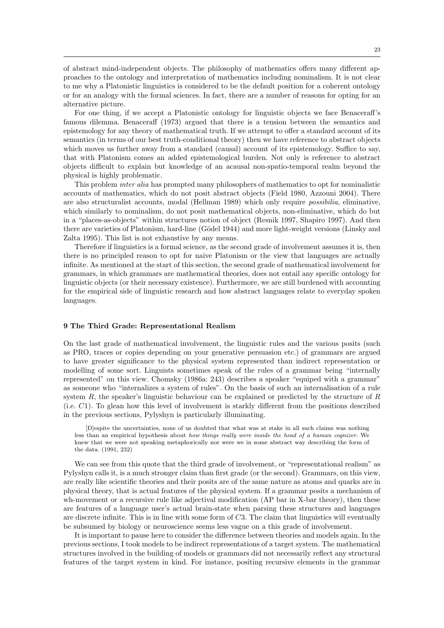of abstract mind-independent objects. The philosophy of mathematics offers many different approaches to the ontology and interpretation of mathematics including nominalism. It is not clear to me why a Platonistic linguistics is considered to be the default position for a coherent ontology or for an analogy with the formal sciences. In fact, there are a number of reasons for opting for an alternative picture.

For one thing, if we accept a Platonistic ontology for linguistic objects we face Benaceraff's famous dilemma. Benaceraff (1973) argued that there is a tension between the semantics and epistemology for any theory of mathematical truth. If we attempt to offer a standard account of its semantics (in terms of our best truth-conditional theory) then we have reference to abstract objects which moves us further away from a standard (causal) account of its epistemology. Suffice to say, that with Platonism comes an added epistemological burden. Not only is reference to abstract objects difficult to explain but knowledge of an acausal non-spatio-temporal realm beyond the physical is highly problematic.

This problem *inter alia* has prompted many philosophers of mathematics to opt for nominalistic accounts of mathematics, which do not posit abstract objects (Field 1980, Azzouni 2004). There are also structuralist accounts, modal (Hellman 1989) which only require possibilia, eliminative, which similarly to nominalism, do not posit mathematical objects, non-eliminative, which do but in a "places-as-objects" within structures notion of object (Resnik 1997, Shapiro 1997). And then there are varieties of Platonism, hard-line (Gödel 1944) and more light-weight versions (Linsky and Zalta 1995). This list is not exhaustive by any means.

Therefore if linguistics is a formal science, as the second grade of involvement assumes it is, then there is no principled reason to opt for naive Platonism or the view that languages are actually infinite. As mentioned at the start of this section, the second grade of mathematical involvement for grammars, in which grammars are mathematical theories, does not entail any specific ontology for linguistic objects (or their necessary existence). Furthermore, we are still burdened with accounting for the empirical side of linguistic research and how abstract languages relate to everyday spoken languages.

# 9 The Third Grade: Representational Realism

On the last grade of mathematical involvement, the linguistic rules and the various posits (such as PRO, traces or copies depending on your generative persuasion etc.) of grammars are argued to have greater significance to the physical system represented than indirect representation or modelling of some sort. Linguists sometimes speak of the rules of a grammar being "internally represented" on this view. Chomsky (1986a: 243) describes a speaker "equiped with a grammar" as someone who "internalizes a system of rules". On the basis of such an internalisation of a rule system  $R$ , the speaker's linguistic behaviour can be explained or predicted by the structure of  $R$ (i.e. C1). To glean how this level of involvement is starkly different from the positions described in the previous sections, Pylyshyn is particularly illuminating.

[D]espite the uncertainties, none of us doubted that what was at stake in all such claims was nothing less than an empirical hypothesis about how things really were inside the head of a human cognizer. We knew that we were not speaking metaphorically nor were we in some abstract way describing the form of the data. (1991, 232)

We can see from this quote that the third grade of involvement, or "representational realism" as Pylyshyn calls it, is a much stronger claim than first grade (or the second). Grammars, on this view, are really like scientific theories and their posits are of the same nature as atoms and quarks are in physical theory, that is actual features of the physical system. If a grammar posits a mechanism of wh-movement or a recursive rule like adjectival modification (AP bar in X-bar theory), then these are features of a language user's actual brain-state when parsing these structures and languages are discrete infinite. This is in line with some form of C3. The claim that linguistics will eventually be subsumed by biology or neuroscience seems less vague on a this grade of involvement.

It is important to pause here to consider the difference between theories and models again. In the previous sections, I took models to be indirect representations of a target system. The mathematical structures involved in the building of models or grammars did not necessarily reflect any structural features of the target system in kind. For instance, positing recursive elements in the grammar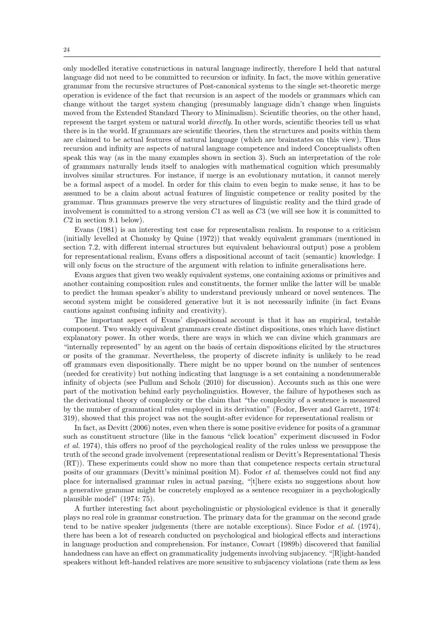only modelled iterative constructions in natural language indirectly, therefore I held that natural language did not need to be committed to recursion or infinity. In fact, the move within generative grammar from the recursive structures of Post-canonical systems to the single set-theoretic merge operation is evidence of the fact that recursion is an aspect of the models or grammars which can change without the target system changing (presumably language didn't change when linguists moved from the Extended Standard Theory to Minimalism). Scientific theories, on the other hand, represent the target system or natural world *directly*. In other words, scientific theories tell us what there is in the world. If grammars are scientific theories, then the structures and posits within them are claimed to be actual features of natural language (which are brainstates on this view). Thus recursion and infinity are aspects of natural language competence and indeed Conceptualists often speak this way (as in the many examples shown in section 3). Such an interpretation of the role of grammars naturally lends itself to analogies with mathematical cognition which presumably involves similar structures. For instance, if merge is an evolutionary mutation, it cannot merely be a formal aspect of a model. In order for this claim to even begin to make sense, it has to be assumed to be a claim about actual features of linguistic competence or reality posited by the grammar. Thus grammars preserve the very structures of linguistic reality and the third grade of involvement is committed to a strong version  $C1$  as well as  $C3$  (we will see how it is committed to  $C2$  in section 9.1 below).

Evans (1981) is an interesting test case for representalism realism. In response to a criticism (initially levelled at Chomsky by Quine (1972)) that weakly equivalent grammars (mentioned in section 7.2, with different internal structures but equivalent behavioural output) pose a problem for representational realism, Evans offers a dispositional account of tacit (semantic) knowledge. I will only focus on the structure of the argument with relation to infinite generalisations here.

Evans argues that given two weakly equivalent systems, one containing axioms or primitives and another containing composition rules and constituents, the former unlike the latter will be unable to predict the human speaker's ability to understand previously unheard or novel sentences. The second system might be considered generative but it is not necessarily infinite (in fact Evans cautions against confusing infinity and creativity).

The important aspect of Evans' dispositional account is that it has an empirical, testable component. Two weakly equivalent grammars create distinct dispositions, ones which have distinct explanatory power. In other words, there are ways in which we can divine which grammars are "internally represented" by an agent on the basis of certain dispositions elicited by the structures or posits of the grammar. Nevertheless, the property of discrete infinity is unlikely to be read off grammars even dispositionally. There might be no upper bound on the number of sentences (needed for creativity) but nothing indicating that language is a set containing a nondenumerable infinity of objects (see Pullum and Scholz (2010) for discussion). Accounts such as this one were part of the motivation behind early psycholinguistics. However, the failure of hypotheses such as the derivational theory of complexity or the claim that "the complexity of a sentence is measured by the number of grammatical rules employed in its derivation" (Fodor, Bever and Garrett, 1974: 319), showed that this project was not the sought-after evidence for representational realism or

In fact, as Devitt (2006) notes, even when there is some positive evidence for posits of a grammar such as constituent structure (like in the famous "click location" experiment discussed in Fodor et al. 1974), this offers no proof of the psychological reality of the rules unless we presuppose the truth of the second grade involvement (representational realism or Devitt's Representational Thesis (RT)). These experiments could show no more than that competence respects certain structural posits of our grammars (Devitt's minimal position M). Fodor *et al.* themselves could not find any place for internalised grammar rules in actual parsing, "[t]here exists no suggestions about how a generative grammar might be concretely employed as a sentence recognizer in a psychologically plausible model" (1974: 75).

A further interesting fact about psycholinguistic or physiological evidence is that it generally plays no real role in grammar construction. The primary data for the grammar on the second grade tend to be native speaker judgements (there are notable exceptions). Since Fodor et al. (1974), there has been a lot of research conducted on psychological and biological effects and interactions in language production and comprehension. For instance, Cowart (1989b) discovered that familial handedness can have an effect on grammaticality judgements involving subjacency. "[R]ight-handed speakers without left-handed relatives are more sensitive to subjacency violations (rate them as less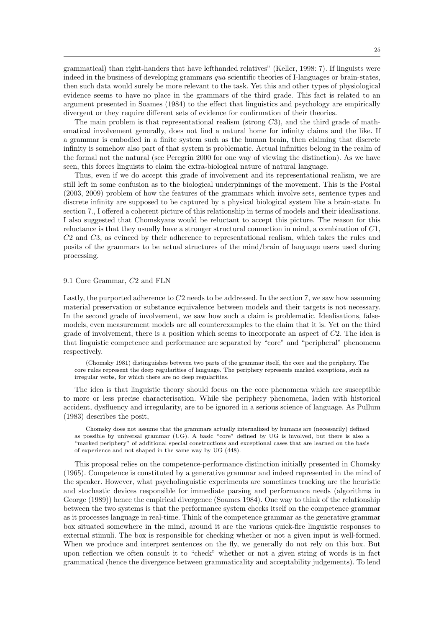grammatical) than right-handers that have lefthanded relatives" (Keller, 1998: 7). If linguists were indeed in the business of developing grammars qua scientific theories of I-languages or brain-states, then such data would surely be more relevant to the task. Yet this and other types of physiological evidence seems to have no place in the grammars of the third grade. This fact is related to an argument presented in Soames (1984) to the effect that linguistics and psychology are empirically divergent or they require different sets of evidence for confirmation of their theories.

The main problem is that representational realism (strong  $C3$ ), and the third grade of mathematical involvement generally, does not find a natural home for infinity claims and the like. If a grammar is embodied in a finite system such as the human brain, then claiming that discrete infinity is somehow also part of that system is problematic. Actual infinities belong in the realm of the formal not the natural (see Peregrin 2000 for one way of viewing the distinction). As we have seen, this forces linguists to claim the extra-biological nature of natural language.

Thus, even if we do accept this grade of involvement and its representational realism, we are still left in some confusion as to the biological underpinnings of the movement. This is the Postal (2003, 2009) problem of how the features of the grammars which involve sets, sentence types and discrete infinity are supposed to be captured by a physical biological system like a brain-state. In section 7., I offered a coherent picture of this relationship in terms of models and their idealisations. I also suggested that Chomskyans would be reluctant to accept this picture. The reason for this reluctance is that they usually have a stronger structural connection in mind, a combination of C1, C2 and C3, as evinced by their adherence to representational realism, which takes the rules and posits of the grammars to be actual structures of the mind/brain of language users used during processing.

# 9.1 Core Grammar, C2 and FLN

Lastly, the purported adherence to C2 needs to be addressed. In the section 7, we saw how assuming material preservation or substance equivalence between models and their targets is not necessary. In the second grade of involvement, we saw how such a claim is problematic. Idealisations, falsemodels, even measurement models are all counterexamples to the claim that it is. Yet on the third grade of involvement, there is a position which seems to incorporate an aspect of C2. The idea is that linguistic competence and performance are separated by "core" and "peripheral" phenomena respectively.

(Chomsky 1981) distinguishes between two parts of the grammar itself, the core and the periphery. The core rules represent the deep regularities of language. The periphery represents marked exceptions, such as irregular verbs, for which there are no deep regularities.

The idea is that linguistic theory should focus on the core phenomena which are susceptible to more or less precise characterisation. While the periphery phenomena, laden with historical accident, dysfluency and irregularity, are to be ignored in a serious science of language. As Pullum (1983) describes the posit,

Chomsky does not assume that the grammars actually internalized by humans are (necessarily) defined as possible by universal grammar (UG). A basic "core" defined by UG is involved, but there is also a "marked periphery" of additional special constructions and exceptional cases that are learned on the basis of experience and not shaped in the same way by UG (448).

This proposal relies on the competence-performance distinction initially presented in Chomsky (1965). Competence is constituted by a generative grammar and indeed represented in the mind of the speaker. However, what psycholinguistic experiments are sometimes tracking are the heuristic and stochastic devices responsible for immediate parsing and performance needs (algorithms in George (1989)) hence the empirical divergence (Soames 1984). One way to think of the relationship between the two systems is that the performance system checks itself on the competence grammar as it processes language in real-time. Think of the competence grammar as the generative grammar box situated somewhere in the mind, around it are the various quick-fire linguistic responses to external stimuli. The box is responsible for checking whether or not a given input is well-formed. When we produce and interpret sentences on the fly, we generally do not rely on this box. But upon reflection we often consult it to "check" whether or not a given string of words is in fact grammatical (hence the divergence between grammaticality and acceptability judgements). To lend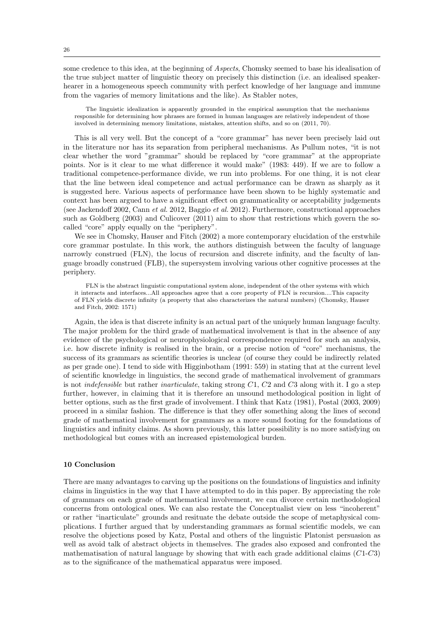some credence to this idea, at the beginning of *Aspects*, Chomsky seemed to base his idealisation of the true subject matter of linguistic theory on precisely this distinction (i.e. an idealised speakerhearer in a homogeneous speech community with perfect knowledge of her language and immune from the vagaries of memory limitations and the like). As Stabler notes,

The linguistic idealization is apparently grounded in the empirical assumption that the mechanisms responsible for determining how phrases are formed in human languages are relatively independent of those involved in determining memory limitations, mistakes, attention shifts, and so on (2011, 70).

This is all very well. But the concept of a "core grammar" has never been precisely laid out in the literature nor has its separation from peripheral mechanisms. As Pullum notes, "it is not clear whether the word "grammar" should be replaced by "core grammar" at the appropriate points. Nor is it clear to me what difference it would make" (1983: 449). If we are to follow a traditional competence-performance divide, we run into problems. For one thing, it is not clear that the line between ideal competence and actual performance can be drawn as sharply as it is suggested here. Various aspects of performance have been shown to be highly systematic and context has been argued to have a significant effect on grammaticality or acceptability judgements (see Jackendoff 2002, Cann et al. 2012, Baggio et al. 2012). Furthermore, constructional approaches such as Goldberg (2003) and Culicover (2011) aim to show that restrictions which govern the socalled "core" apply equally on the "periphery".

We see in Chomsky, Hauser and Fitch (2002) a more contemporary elucidation of the erstwhile core grammar postulate. In this work, the authors distinguish between the faculty of language narrowly construed (FLN), the locus of recursion and discrete infinity, and the faculty of language broadly construed (FLB), the supersystem involving various other cognitive processes at the periphery.

FLN is the abstract linguistic computational system alone, independent of the other systems with which it interacts and interfaces...All approaches agree that a core property of FLN is recursion....This capacity of FLN yields discrete infinity (a property that also characterizes the natural numbers) (Chomsky, Hauser and Fitch, 2002: 1571)

Again, the idea is that discrete infinity is an actual part of the uniquely human language faculty. The major problem for the third grade of mathematical involvement is that in the absence of any evidence of the psychological or neurophysiological correspondence required for such an analysis, i.e. how discrete infinity is realised in the brain, or a precise notion of "core" mechanisms, the success of its grammars as scientific theories is unclear (of course they could be indirectly related as per grade one). I tend to side with Higginbotham (1991: 559) in stating that at the current level of scientific knowledge in linguistics, the second grade of mathematical involvement of grammars is not *indefensible* but rather *inarticulate*, taking strong  $C1$ ,  $C2$  and  $C3$  along with it. I go a step further, however, in claiming that it is therefore an unsound methodological position in light of better options, such as the first grade of involvement. I think that Katz (1981), Postal (2003, 2009) proceed in a similar fashion. The difference is that they offer something along the lines of second grade of mathematical involvement for grammars as a more sound footing for the foundations of linguistics and infinity claims. As shown previously, this latter possibility is no more satisfying on methodological but comes with an increased epistemological burden.

#### 10 Conclusion

There are many advantages to carving up the positions on the foundations of linguistics and infinity claims in linguistics in the way that I have attempted to do in this paper. By appreciating the role of grammars on each grade of mathematical involvement, we can divorce certain methodological concerns from ontological ones. We can also restate the Conceptualist view on less "incoherent" or rather "inarticulate" grounds and resituate the debate outside the scope of metaphysical complications. I further argued that by understanding grammars as formal scientific models, we can resolve the objections posed by Katz, Postal and others of the linguistic Platonist persuasion as well as avoid talk of abstract objects in themselves. The grades also exposed and confronted the mathematisation of natural language by showing that with each grade additional claims  $(C1-C3)$ as to the significance of the mathematical apparatus were imposed.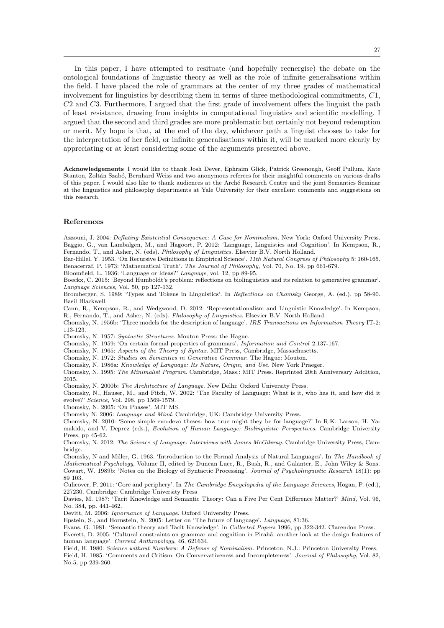In this paper, I have attempted to resituate (and hopefully reenergise) the debate on the ontological foundations of linguistic theory as well as the role of infinite generalisations within the field. I have placed the role of grammars at the center of my three grades of mathematical involvement for linguistics by describing them in terms of three methodological commitments, C1, C2 and C3. Furthermore, I argued that the first grade of involvement offers the linguist the path of least resistance, drawing from insights in computational linguistics and scientific modelling. I argued that the second and third grades are more problematic but certainly not beyond redemption or merit. My hope is that, at the end of the day, whichever path a linguist chooses to take for the interpretation of her field, or infinite generalisations within it, will be marked more clearly by appreciating or at least considering some of the arguments presented above.

Acknowledgements I would like to thank Josh Dever, Ephraim Glick, Patrick Greenough, Geoff Pullum, Kate Stanton, Zoltán Szabó, Bernhard Weiss and two anonymous referees for their insightful comments on various drafts of this paper. I would also like to thank audiences at the Arch´e Research Centre and the joint Semantics Seminar at the linguistics and philosophy departments at Yale University for their excellent comments and suggestions on this research.

## References

Azzouni, J. 2004: Deflating Existential Consequence: A Case for Nominalism. New York: Oxford University Press. Baggio, G., van Lambalgen, M., and Hagoort, P. 2012: 'Language, Linguistics and Cognition'. In Kempson, R., Fernando, T., and Asher, N. (eds). *Philosophy of Linguistics*. Elsevier B.V. North Holland.

Bar-Hillel, Y. 1953. 'On Recursive Definitions in Empirical Science'. 11th Natural Congress of Philosophy 5: 160-165. Benacerraf, P. 1973: 'Mathematical Truth'. The Journal of Philosophy, Vol. 70, No. 19. pp 661-679.

Bloomfield, L. 1936: 'Language or Ideas?' Language, vol. 12, pp 89-95.

Boeckx, C. 2015: 'Beyond Humboldt's problem: reflections on biolinguistics and its relation to generative grammar'. Language Sciences, Vol. 50, pp 127-132.

Bromberger, S. 1989: 'Types and Tokens in Linguistics'. In Reflections on Chomsky George, A. (ed.), pp 58-90. Basil Blackwell.

Cann, R., Kempson, R., and Wedgwood, D. 2012: 'Representationalism and Linguistic Knowledge'. In Kempson, R., Fernando, T., and Asher, N. (eds). Philosophy of Linguistics. Elsevier B.V. North Holland.

Chomsky, N. 1956b: 'Three models for the description of language'. IRE Transactions on Information Theory IT-2: 113-123.

Chomsky, N. 1957: Syntactic Structures. Mouton Press: the Hague.

Chomsky, N. 1959: 'On certain formal properties of grammars'. Information and Control 2.137-167.

Chomsky, N. 1965: Aspects of the Theory of Syntax. MIT Press, Cambridge, Massachusetts.

Chomsky, N. 1972: Studies on Semantics in Generative Grammar. The Hague: Mouton.

Chomsky, N. 1986a: Knowledge of Language: Its Nature, Origin, and Use. New York Praeger.

Chomsky, N. 1995: The Minimalist Program. Cambridge, Mass.: MIT Press. Reprinted 20th Anniversary Addition, 2015.

Chomsky, N. 2000b: The Architecture of Language. New Delhi: Oxford University Press.

Chomsky, N., Hauser, M., and Fitch, W. 2002: 'The Faculty of Language: What is it, who has it, and how did it evolve?' Science, Vol. 298. pp 1569-1579.

Chomsky, N. 2005: 'On Phases'. MIT MS.

Chomsky N. 2006: Language and Mind. Cambridge, UK: Cambridge University Press.

Chomsky, N. 2010: 'Some simple evo-devo theses: how true might they be for language?' In R.K. Larson, H. Yamakido, and V. Deprez (eds.), Evolution of Human Language: Biolinguistic Perspectives. Cambridge University Press, pp 45-62.

Chomsky, N. 2012: The Science of Language: Interviews with James McGilvray. Cambridge University Press, Cambridge.

Chomsky, N and Miller, G. 1963. 'Introduction to the Formal Analysis of Natural Languages'. In The Handbook of Mathematical Psychology, Volume II, edited by Duncan Luce, R., Bush, R., and Galanter, E., John Wiley & Sons. Cowart, W. 1989b: 'Notes on the Biology of Syntactic Processing'. Journal of Psycholinguistic Research 18(1): pp 89 103.

Culicover, P. 2011: 'Core and periphery'. In The Cambridge Encyclopedia of the Language Sciences, Hogan, P. (ed.), 227230. Cambridge: Cambridge University Press

Davies, M. 1987: 'Tacit Knowledge and Semantic Theory: Can a Five Per Cent Difference Matter?' Mind, Vol. 96, No. 384, pp. 441-462.

Devitt, M. 2006: Ignornance of Language. Oxford University Press.

Epstein, S., and Hornstein, N. 2005: Letter on 'The future of language'. Language, 81:36.

Evans, G. 1981: 'Semantic theory and Tacit Knowledge'. in Collected Papers 1996, pp 322-342. Clarendon Press.

Everett, D. 2005: 'Cultural constraints on grammar and cognition in Pirahã: another look at the design features of human language'. Current Anthropology, 46, 621634.

Field, H. 1980: Science without Numbers: A Defense of Nominalism. Princeton, N.J.: Princeton University Press. Field, H. 1985: 'Comments and Critism: On Convervativeness and Incompleteness'. Journal of Philosophy, Vol. 82, No.5, pp 239-260.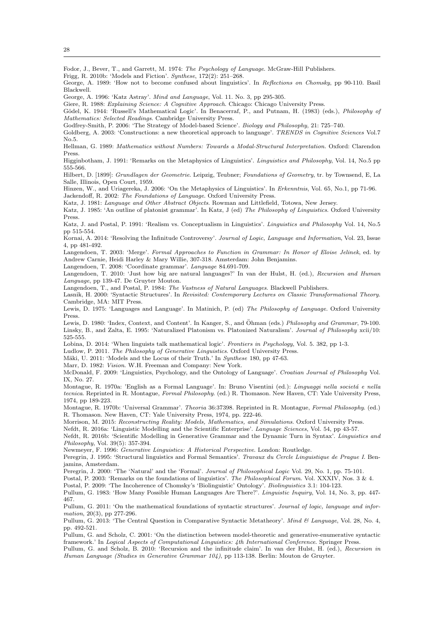Fodor, J., Bever, T., and Garrett, M. 1974: The Psychology of Language. McGraw-Hill Publishers.

Frigg, R. 2010b: 'Models and Fiction'. Synthese, 172(2): 251–268.

George, A. 1989: 'How not to become confused about linguistics'. In Reflections on Chomsky, pp 90-110. Basil Blackwell.

George, A. 1996: 'Katz Astray'. Mind and Language, Vol. 11. No. 3, pp 295-305.

Giere, R. 1988: Explaining Science: A Cognitive Approach. Chicago: Chicago University Press.

Gödel, K. 1944: 'Russell's Mathematical Logic'. In Benacerraf, P., and Putnam, H. (1983) (eds.), *Philosophy of* Mathematics: Selected Readings. Cambridge University Press.

Godfrey-Smith, P. 2006: 'The Strategy of Model-based Science'. Biology and Philosophy, 21: 725–740.

Goldberg, A. 2003: 'Constructions: a new theoretical approach to language'. TRENDS in Cognitive Sciences Vol.7 No.5.

Hellman, G. 1989: Mathematics without Numbers: Towards a Modal-Structural Interpretation. Oxford: Clarendon Press.

Higginbotham, J. 1991: 'Remarks on the Metaphysics of Linguistics'. Linguistics and Philosophy, Vol. 14, No.5 pp 555-566.

Hilbert, D. [1899]: Grundlagen der Geometrie. Leipzig, Teubner; Foundations of Geometry, tr. by Townsend, E, La Salle, Illinois, Open Court, 1959.

Hinzen, W., and Uriagereka, J. 2006: 'On the Metaphysics of Linguistics'. In Erkenntnis, Vol. 65, No.1, pp 71-96. Jackendoff, R. 2002: The Foundations of Language. Oxford University Press.

Katz, J. 1981: Language and Other Abstract Objects. Rowman and Littlefield, Totowa, New Jersey.

Katz, J. 1985: 'An outline of platonist grammar'. In Katz, J (ed) The Philosophy of Linguistics. Oxford University Press.

Katz, J. and Postal, P. 1991: 'Realism vs. Conceptualism in Linguistics'. *Linguistics and Philosophy* Vol. 14, No.5 pp 515-554.

Kornai, A. 2014: 'Resolving the Infinitude Controversy'. Journal of Logic, Language and Information, Vol. 23, Issue 4, pp 481-492.

Langendoen, T. 2003: 'Merge'. Formal Approaches to Function in Grammar: In Honor of Eloise Jelinek, ed. by Andrew Carnie, Heidi Harley & Mary Willie, 307-318. Amsterdam: John Benjamins.

Langendoen, T. 2008: 'Coordinate grammar'. Language 84.691-709.

Langendoen, T. 2010: 'Just how big are natural languages?' In van der Hulst, H. (ed.), Recursion and Human Language, pp 139-47. De Gruyter Mouton.

Langendoen, T., and Postal, P. 1984: The Vastness of Natural Languages. Blackwell Publishers.

Lasnik, H. 2000: 'Syntactic Structures'. In Revisited: Contemporary Lectures on Classic Transformational Theory. Cambridge, MA: MIT Press.

Lewis, D. 1975: 'Languages and Language'. In Matinich, P. (ed) The Philosophy of Language. Oxford University Press.

Lewis, D. 1980: 'Index, Context, and Content'. In Kanger, S., and Öhman (eds.) Philosophy and Grammar, 79-100. Linsky, B., and Zalta, E. 1995: 'Naturalized Platonism vs. Platonized Naturalism'. Journal of Philosophy xcii/10: 525-555.

Lobina, D. 2014: 'When linguists talk mathematical logic'. Frontiers in Psychology, Vol. 5. 382, pp 1-3.

Ludlow, P. 2011. The Philosophy of Generative Linguistics. Oxford University Press.

Mäki, U. 2011: 'Models and the Locus of their Truth.' In Synthese 180, pp 47-63.

Marr, D. 1982: Vision. W.H. Freeman and Company: New York.

McDonald, F. 2009: 'Linguistics, Psychology, and the Ontology of Language'. Croatian Journal of Philosophy Vol. IX, No. 27.

Montague, R. 1970a: 'English as a Formal Language'. In: Bruno Visentini (ed.): Linguaggi nella società e nella tecnica. Reprinted in R. Montague, Formal Philosophy. (ed.) R. Thomason. New Haven, CT: Yale University Press, 1974, pp 189-223.

Montague, R. 1970b: 'Universal Grammar'. Theoria 36:37398. Reprinted in R. Montague, Formal Philosophy. (ed.) R. Thomason. New Haven, CT: Yale University Press, 1974, pp. 222-46.

Morrison, M. 2015: Reconstructing Reality: Models, Mathematics, and Simulations. Oxford University Press.

Nefdt, R. 2016a: 'Linguistic Modelling and the Scientific Enterprise'. Language Sciences, Vol. 54, pp 43-57.

Nefdt, R. 2016b: 'Scientific Modelling in Generative Grammar and the Dynamic Turn in Syntax'. Linguistics and Philosophy, Vol. 39(5): 357-394.

Newmeyer, F. 1996: Generative Linguistics: A Historical Perspective. London: Routledge.

Peregrin, J. 1995: 'Structural linguistics and Formal Semantics'. Travaux du Cercle Linguistique de Prague I. Benjamins, Amsterdam.

Peregrin, J. 2000: 'The 'Natural' and the 'Formal'. Journal of Philosophical Logic Vol. 29, No. 1, pp. 75-101.

Postal, P. 2003: 'Remarks on the foundations of linguistics'. The Philosophical Forum. Vol. XXXIV, Nos. 3 & 4.

Postal, P. 2009: 'The Incoherence of Chomsky's 'Biolinguistic' Ontology'. Biolinguistics 3.1: 104-123.

Pullum, G. 1983: 'How Many Possible Human Languages Are There?'. Linguistic Inquiry, Vol. 14, No. 3, pp. 447- 467.

Pullum, G. 2011: 'On the mathematical foundations of syntactic structures'. Journal of logic, language and information, 20(3), pp 277-296.

Pullum, G. 2013: 'The Central Question in Comparative Syntactic Metatheory'. Mind & Language, Vol. 28, No. 4, pp. 492-521.

Pullum, G. and Scholz, C. 2001: 'On the distinction between model-theoretic and generative-enumerative syntactic framework.' In Logical Aspects of Computational Linguistics: 4th International Conference. Springer Press.

Pullum, G. and Scholz, B. 2010: 'Recursion and the infinitude claim'. In van der Hulst, H. (ed.), Recursion in Human Language (Studies in Generative Grammar 104), pp 113-138. Berlin: Mouton de Gruyter.